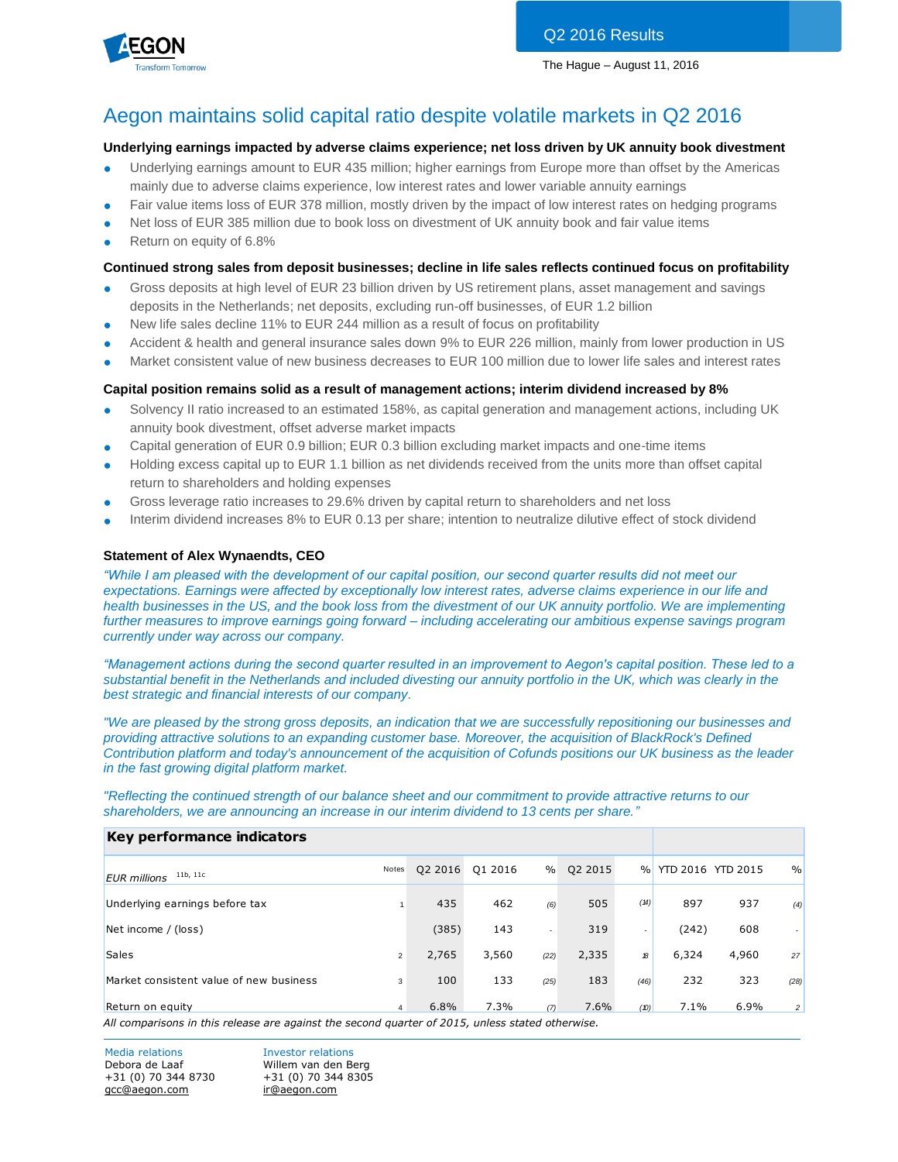

# Aegon maintains solid capital ratio despite volatile markets in Q2 2016

# **Underlying earnings impacted by adverse claims experience; net loss driven by UK annuity book divestment**

- Underlying earnings amount to EUR 435 million; higher earnings from Europe more than offset by the Americas mainly due to adverse claims experience, low interest rates and lower variable annuity earnings
- Fair value items loss of EUR 378 million, mostly driven by the impact of low interest rates on hedging programs
- Net loss of EUR 385 million due to book loss on divestment of UK annuity book and fair value items
- Return on equity of 6.8%

# **Continued strong sales from deposit businesses; decline in life sales reflects continued focus on profitability**

- Gross deposits at high level of EUR 23 billion driven by US retirement plans, asset management and savings deposits in the Netherlands; net deposits, excluding run-off businesses, of EUR 1.2 billion
- New life sales decline 11% to EUR 244 million as a result of focus on profitability
- Accident & health and general insurance sales down 9% to EUR 226 million, mainly from lower production in US
- Market consistent value of new business decreases to EUR 100 million due to lower life sales and interest rates

# **Capital position remains solid as a result of management actions; interim dividend increased by 8%**

- Solvency II ratio increased to an estimated 158%, as capital generation and management actions, including UK annuity book divestment, offset adverse market impacts
- Capital generation of EUR 0.9 billion; EUR 0.3 billion excluding market impacts and one-time items
- Holding excess capital up to EUR 1.1 billion as net dividends received from the units more than offset capital return to shareholders and holding expenses
- Gross leverage ratio increases to 29.6% driven by capital return to shareholders and net loss
- Interim dividend increases 8% to EUR 0.13 per share; intention to neutralize dilutive effect of stock dividend

# **Statement of Alex Wynaendts, CEO**

*"While I am pleased with the development of our capital position, our second quarter results did not meet our expectations. Earnings were affected by exceptionally low interest rates, adverse claims experience in our life and health businesses in the US, and the book loss from the divestment of our UK annuity portfolio. We are implementing further measures to improve earnings going forward – including accelerating our ambitious expense savings program currently under way across our company.*

*"Management actions during the second quarter resulted in an improvement to Aegon's capital position. These led to a substantial benefit in the Netherlands and included divesting our annuity portfolio in the UK, which was clearly in the best strategic and financial interests of our company.*

*"We are pleased by the strong gross deposits, an indication that we are successfully repositioning our businesses and providing attractive solutions to an expanding customer base. Moreover, the acquisition of BlackRock's Defined Contribution platform and today's announcement of the acquisition of Cofunds positions our UK business as the leader in the fast growing digital platform market.*

*"Reflecting the continued strength of our balance sheet and our commitment to provide attractive returns to our shareholders, we are announcing an increase in our interim dividend to 13 cents per share."*

#### **Key performance indicators**

| 11b, 11c<br><b>EUR</b> millions                                                                  | Notes          | Q2 2016 | Q1 2016 | $\%$                     | Q2 2015 | $\frac{0}{0}$ | YTD 2016 YTD 2015 |       | $\frac{0}{0}$  |
|--------------------------------------------------------------------------------------------------|----------------|---------|---------|--------------------------|---------|---------------|-------------------|-------|----------------|
| Underlying earnings before tax                                                                   |                | 435     | 462     | (6)                      | 505     | (14)          | 897               | 937   | (4)            |
| Net income / (loss)                                                                              |                | (385)   | 143     | $\overline{\phantom{a}}$ | 319     | ۰.            | (242)             | 608   |                |
| <b>Sales</b>                                                                                     | $\overline{2}$ | 2,765   | 3,560   | (22)                     | 2,335   | 18            | 6,324             | 4,960 | 27             |
| Market consistent value of new business                                                          | 3              | 100     | 133     | (25)                     | 183     | (46)          | 232               | 323   | (28)           |
| Return on equity                                                                                 | 4              | 6.8%    | 7.3%    | (7)                      | 7.6%    | (D)           | 7.1%              | 6.9%  | $\overline{2}$ |
| All comparisons in this release are against the second quarter of 2015, unless stated otherwise. |                |         |         |                          |         |               |                   |       |                |

Media relations **Investor relations** Debora de Laaf Willem van den Berg +31 (0) 70 344 8730 +31 (0) 70 344 8305 [gcc@aegon.com](mailto:gcc@aegon.com) [ir@aegon.com](mailto:ir@aegon.com)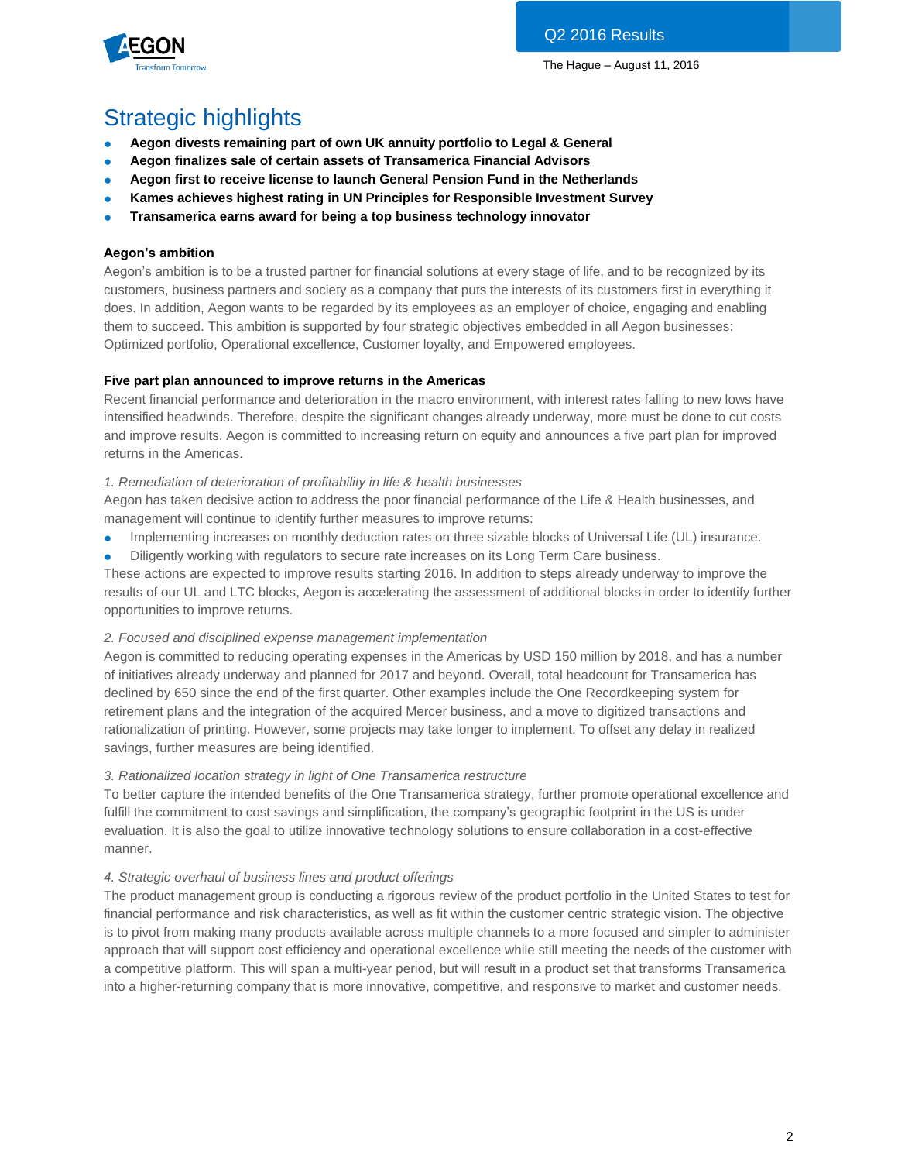

# Strategic highlights

- **Aegon divests remaining part of own UK annuity portfolio to Legal & General**
- **Aegon finalizes sale of certain assets of Transamerica Financial Advisors**
- **Aegon first to receive license to launch General Pension Fund in the Netherlands**
- **Kames achieves highest rating in UN Principles for Responsible Investment Survey**
- **Transamerica earns award for being a top business technology innovator**

# **Aegon's ambition**

Aegon's ambition is to be a trusted partner for financial solutions at every stage of life, and to be recognized by its customers, business partners and society as a company that puts the interests of its customers first in everything it does. In addition, Aegon wants to be regarded by its employees as an employer of choice, engaging and enabling them to succeed. This ambition is supported by four strategic objectives embedded in all Aegon businesses: Optimized portfolio, Operational excellence, Customer loyalty, and Empowered employees.

# **Five part plan announced to improve returns in the Americas**

Recent financial performance and deterioration in the macro environment, with interest rates falling to new lows have intensified headwinds. Therefore, despite the significant changes already underway, more must be done to cut costs and improve results. Aegon is committed to increasing return on equity and announces a five part plan for improved returns in the Americas.

# *1. Remediation of deterioration of profitability in life & health businesses*

Aegon has taken decisive action to address the poor financial performance of the Life & Health businesses, and management will continue to identify further measures to improve returns:

- Implementing increases on monthly deduction rates on three sizable blocks of Universal Life (UL) insurance.
- Diligently working with regulators to secure rate increases on its Long Term Care business.

These actions are expected to improve results starting 2016. In addition to steps already underway to improve the results of our UL and LTC blocks, Aegon is accelerating the assessment of additional blocks in order to identify further opportunities to improve returns.

# *2. Focused and disciplined expense management implementation*

Aegon is committed to reducing operating expenses in the Americas by USD 150 million by 2018, and has a number of initiatives already underway and planned for 2017 and beyond. Overall, total headcount for Transamerica has declined by 650 since the end of the first quarter. Other examples include the One Recordkeeping system for retirement plans and the integration of the acquired Mercer business, and a move to digitized transactions and rationalization of printing. However, some projects may take longer to implement. To offset any delay in realized savings, further measures are being identified.

# *3. Rationalized location strategy in light of One Transamerica restructure*

To better capture the intended benefits of the One Transamerica strategy, further promote operational excellence and fulfill the commitment to cost savings and simplification, the company's geographic footprint in the US is under evaluation. It is also the goal to utilize innovative technology solutions to ensure collaboration in a cost-effective manner.

# *4. Strategic overhaul of business lines and product offerings*

The product management group is conducting a rigorous review of the product portfolio in the United States to test for financial performance and risk characteristics, as well as fit within the customer centric strategic vision. The objective is to pivot from making many products available across multiple channels to a more focused and simpler to administer approach that will support cost efficiency and operational excellence while still meeting the needs of the customer with a competitive platform. This will span a multi-year period, but will result in a product set that transforms Transamerica into a higher-returning company that is more innovative, competitive, and responsive to market and customer needs.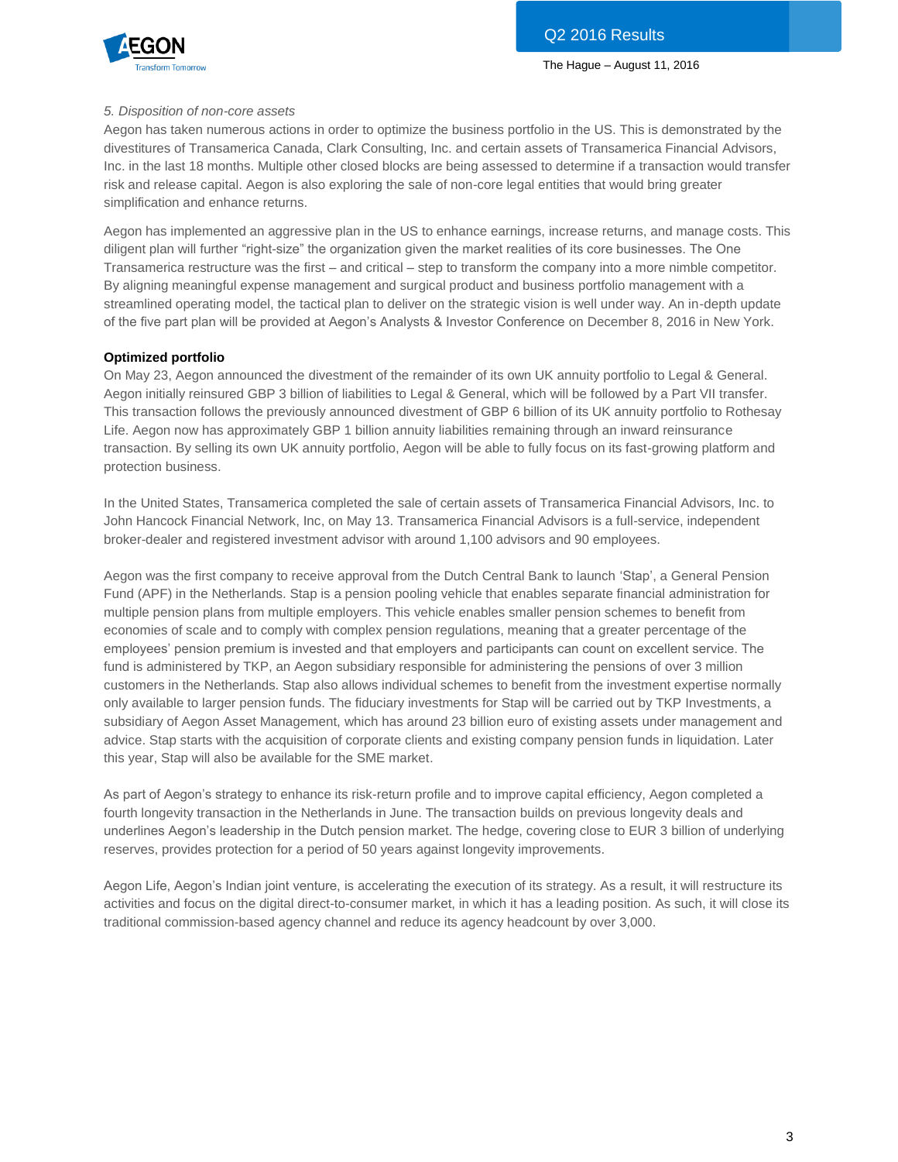

# *5. Disposition of non-core assets*

Aegon has taken numerous actions in order to optimize the business portfolio in the US. This is demonstrated by the divestitures of Transamerica Canada, Clark Consulting, Inc. and certain assets of Transamerica Financial Advisors, Inc. in the last 18 months. Multiple other closed blocks are being assessed to determine if a transaction would transfer risk and release capital. Aegon is also exploring the sale of non-core legal entities that would bring greater simplification and enhance returns.

Aegon has implemented an aggressive plan in the US to enhance earnings, increase returns, and manage costs. This diligent plan will further "right-size" the organization given the market realities of its core businesses. The One Transamerica restructure was the first – and critical – step to transform the company into a more nimble competitor. By aligning meaningful expense management and surgical product and business portfolio management with a streamlined operating model, the tactical plan to deliver on the strategic vision is well under way. An in-depth update of the five part plan will be provided at Aegon's Analysts & Investor Conference on December 8, 2016 in New York.

# **Optimized portfolio**

On May 23, Aegon announced the divestment of the remainder of its own UK annuity portfolio to Legal & General. Aegon initially reinsured GBP 3 billion of liabilities to Legal & General, which will be followed by a Part VII transfer. This transaction follows the previously announced divestment of GBP 6 billion of its UK annuity portfolio to Rothesay Life. Aegon now has approximately GBP 1 billion annuity liabilities remaining through an inward reinsurance transaction. By selling its own UK annuity portfolio, Aegon will be able to fully focus on its fast-growing platform and protection business.

In the United States, Transamerica completed the sale of certain assets of Transamerica Financial Advisors, Inc. to John Hancock Financial Network, Inc, on May 13. Transamerica Financial Advisors is a full-service, independent broker-dealer and registered investment advisor with around 1,100 advisors and 90 employees.

Aegon was the first company to receive approval from the Dutch Central Bank to launch 'Stap', a General Pension Fund (APF) in the Netherlands. Stap is a pension pooling vehicle that enables separate financial administration for multiple pension plans from multiple employers. This vehicle enables smaller pension schemes to benefit from economies of scale and to comply with complex pension regulations, meaning that a greater percentage of the employees' pension premium is invested and that employers and participants can count on excellent service. The fund is administered by TKP, an Aegon subsidiary responsible for administering the pensions of over 3 million customers in the Netherlands. Stap also allows individual schemes to benefit from the investment expertise normally only available to larger pension funds. The fiduciary investments for Stap will be carried out by TKP Investments, a subsidiary of Aegon Asset Management, which has around 23 billion euro of existing assets under management and advice. Stap starts with the acquisition of corporate clients and existing company pension funds in liquidation. Later this year, Stap will also be available for the SME market.

As part of Aegon's strategy to enhance its risk-return profile and to improve capital efficiency, Aegon completed a fourth longevity transaction in the Netherlands in June. The transaction builds on previous longevity deals and underlines Aegon's leadership in the Dutch pension market. The hedge, covering close to EUR 3 billion of underlying reserves, provides protection for a period of 50 years against longevity improvements.

Aegon Life, Aegon's Indian joint venture, is accelerating the execution of its strategy. As a result, it will restructure its activities and focus on the digital direct-to-consumer market, in which it has a leading position. As such, it will close its traditional commission-based agency channel and reduce its agency headcount by over 3,000.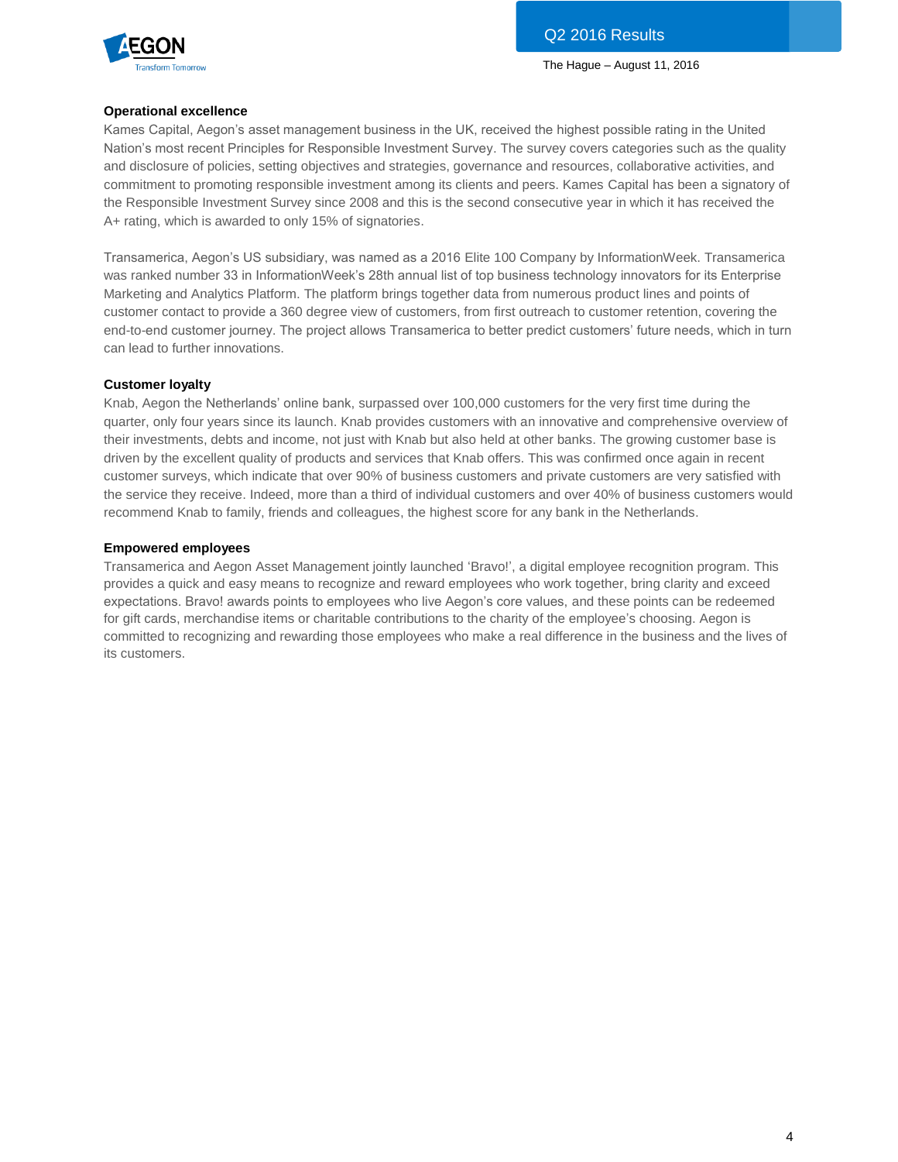

# **Operational excellence**

Kames Capital, Aegon's asset management business in the UK, received the highest possible rating in the United Nation's most recent Principles for Responsible Investment Survey. The survey covers categories such as the quality and disclosure of policies, setting objectives and strategies, governance and resources, collaborative activities, and commitment to promoting responsible investment among its clients and peers. Kames Capital has been a signatory of the Responsible Investment Survey since 2008 and this is the second consecutive year in which it has received the A+ rating, which is awarded to only 15% of signatories.

Transamerica, Aegon's US subsidiary, was named as a 2016 Elite 100 Company by InformationWeek. Transamerica was ranked number 33 in InformationWeek's 28th annual list of top business technology innovators for its Enterprise Marketing and Analytics Platform. The platform brings together data from numerous product lines and points of customer contact to provide a 360 degree view of customers, from first outreach to customer retention, covering the end-to-end customer journey. The project allows Transamerica to better predict customers' future needs, which in turn can lead to further innovations.

# **Customer loyalty**

Knab, Aegon the Netherlands' online bank, surpassed over 100,000 customers for the very first time during the quarter, only four years since its launch. Knab provides customers with an innovative and comprehensive overview of their investments, debts and income, not just with Knab but also held at other banks. The growing customer base is driven by the excellent quality of products and services that Knab offers. This was confirmed once again in recent customer surveys, which indicate that over 90% of business customers and private customers are very satisfied with the service they receive. Indeed, more than a third of individual customers and over 40% of business customers would recommend Knab to family, friends and colleagues, the highest score for any bank in the Netherlands.

# **Empowered employees**

Transamerica and Aegon Asset Management jointly launched 'Bravo!', a digital employee recognition program. This provides a quick and easy means to recognize and reward employees who work together, bring clarity and exceed expectations. Bravo! awards points to employees who live Aegon's core values, and these points can be redeemed for gift cards, merchandise items or charitable contributions to the charity of the employee's choosing. Aegon is committed to recognizing and rewarding those employees who make a real difference in the business and the lives of its customers.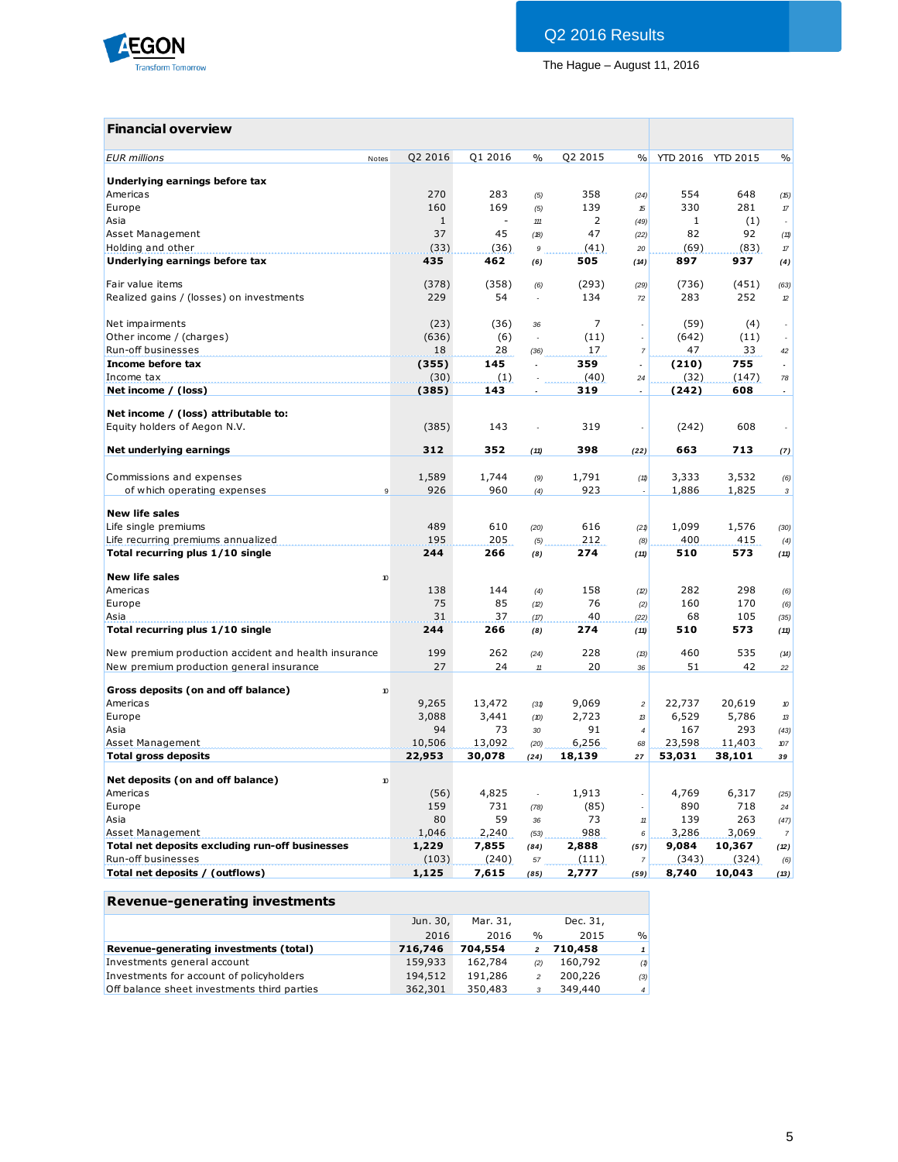

# **Financial overview**

| <b>EUR</b> millions<br>Notes                                         | Q2 2016             | Q1 2016 | $\frac{0}{0}$            | Q2 2015 | $\%$                 |        | YTD 2016 YTD 2015 | $\%$                        |
|----------------------------------------------------------------------|---------------------|---------|--------------------------|---------|----------------------|--------|-------------------|-----------------------------|
| Underlying earnings before tax                                       |                     |         |                          |         |                      |        |                   |                             |
| Americas                                                             | 270                 | 283     | (5)                      | 358     | (24)                 | 554    | 648               | (15)                        |
| Europe                                                               | 160                 | 169     | (5)                      | 139     | 15                   | 330    | 281               | $\pi$                       |
| Asia                                                                 | $\mathbf{1}$        | $\sim$  | 111                      | 2       | (49)                 | 1      | (1)               | $\sim$                      |
| Asset Management                                                     | 37                  | 45      | (18)                     | 47      | (22)                 | 82     | 92                | (11)                        |
| Holding and other                                                    | (33)                | (36)    | 9                        | (41)    | 20                   | (69)   | (83)              | $\pi$                       |
| Underlying earnings before tax                                       | 435                 | 462     | (6)                      | 505     | (14)                 | 897    | 937               | (4)                         |
| Fair value items                                                     | (378)               | (358)   | (6)                      | (293)   | (29)                 | (736)  | (451)             | (63)                        |
| Realized gains / (losses) on investments                             | 229                 | 54      |                          | 134     | 72                   | 283    | 252               | 12                          |
| Net impairments                                                      | (23)                | (36)    | 36                       | 7       | ÷,                   | (59)   | (4)               | $\sim$                      |
| Other income / (charges)                                             | (636)               | (6)     |                          | (11)    | ÷,                   | (642)  | (11)              |                             |
| Run-off businesses                                                   | 18                  | 28      | (36)                     | 17      | $\overline{7}$       | 47     | 33                | $42\,$                      |
| Income before tax                                                    | (355)               | 145     | $\overline{a}$           | 359     | $\overline{a}$       | (210)  | 755               | $\mathcal{L}_{\mathcal{A}}$ |
| Income tax                                                           | (30)                | (1)     |                          | (40)    | 24                   | (32)   | (147)             | 78                          |
| Net income / (loss)                                                  | (385)               | 143     |                          | 319     | $\overline{a}$       | (242)  | 608               | $\overline{\phantom{a}}$    |
|                                                                      |                     |         |                          |         |                      |        |                   |                             |
| Net income / (loss) attributable to:<br>Equity holders of Aegon N.V. | (385)               | 143     |                          | 319     | $\ddot{\phantom{a}}$ | (242)  | 608               |                             |
|                                                                      |                     |         |                          |         |                      |        |                   |                             |
| Net underlying earnings                                              | 312                 | 352     | (11)                     | 398     | (22)                 | 663    | 713               | (7)                         |
| Commissions and expenses                                             | 1,589               | 1,744   | (9)                      | 1,791   | (11)                 | 3,333  | 3,532             | (6)                         |
| of which operating expenses                                          | 926<br>9            | 960     | (4)                      | 923     |                      | 1,886  | 1,825             | $\sqrt{3}$                  |
|                                                                      |                     |         |                          |         |                      |        |                   |                             |
| <b>New life sales</b>                                                |                     |         |                          |         |                      |        |                   |                             |
| Life single premiums                                                 | 489                 | 610     | (20)                     | 616     | (21)                 | 1,099  | 1,576             | (30)                        |
| Life recurring premiums annualized                                   | 195                 | 205     | (5)                      | 212     | (8)                  | 400    | 415               | (4)                         |
| Total recurring plus 1/10 single                                     | 244                 | 266     | (8)                      | 274     | (11)                 | 510    | 573               | (11)                        |
| <b>New life sales</b>                                                | $\boldsymbol{\eta}$ |         |                          |         |                      |        |                   |                             |
| Americas                                                             | 138                 | 144     | (4)                      | 158     | (2)                  | 282    | 298               | (6)                         |
| Europe                                                               | 75                  | 85      | (2)                      | 76      | (2)                  | 160    | 170               | (6)                         |
| Asia                                                                 | 31                  | 37      | (17)                     | 40      | (22)                 | 68     | 105               | (35)                        |
| Total recurring plus 1/10 single                                     | 244                 | 266     | (8)                      | 274     | (11)                 | 510    | 573               | (11)                        |
|                                                                      |                     |         |                          |         |                      |        |                   |                             |
| New premium production accident and health insurance                 | 199                 | 262     | (24)                     | 228     | (B)                  | 460    | 535               | (14)                        |
| New premium production general insurance                             | 27                  | 24      | $11\,$                   | 20      | 36                   | 51     | 42                | 22                          |
| Gross deposits (on and off balance)                                  | 10                  |         |                          |         |                      |        |                   |                             |
| Americas                                                             | 9,265               | 13,472  | (31)                     | 9,069   | $\overline{c}$       | 22,737 | 20,619            | 10                          |
| Europe                                                               | 3,088               | 3,441   | (10)                     | 2,723   | 13                   | 6,529  | 5,786             | 13                          |
| Asia                                                                 | 94                  | 73      | 30                       | 91      | $\overline{4}$       | 167    | 293               | (43)                        |
| Asset Management                                                     | 10,506              | 13,092  | (20)                     | 6,256   | 68                   | 23,598 | 11,403            | 107                         |
| <b>Total gross deposits</b>                                          | 22,953              | 30,078  | (24)                     | 18,139  | 27                   | 53,031 | 38,101            | 39                          |
| Net deposits (on and off balance)                                    | $\boldsymbol{v}$    |         |                          |         |                      |        |                   |                             |
| Americas                                                             | (56)                | 4,825   | $\overline{\phantom{a}}$ | 1,913   | $\sim$               | 4,769  | 6,317             | (25)                        |
| Europe                                                               | 159                 | 731     | (78)                     | (85)    | ÷,                   | 890    | 718               | 24                          |
| Asia                                                                 | 80                  | 59      | 36                       | 73      | $11\,$               | 139    | 263               | (47)                        |
| Asset Management                                                     | 1,046               | 2,240   | (53)                     | 988     | 6                    | 3,286  | 3,069             | $\overline{7}$              |
| Total net deposits excluding run-off businesses                      | 1,229               | 7,855   | (84)                     | 2,888   | (57)                 | 9,084  | 10,367            | (12)                        |
| Run-off businesses                                                   | (103)               | (240)   | 57                       | (111)   | $\overline{7}$       | (343)  | (324)             | (6)                         |
| Total net deposits / (outflows)                                      | 1,125               | 7,615   | (85)                     | 2,777   | (59)                 | 8,740  | 10,043            | (13)                        |
|                                                                      |                     |         |                          |         |                      |        |                   |                             |

# **Revenue-generating investments**

|                                             | Jun. 30, | Mar. 31. |               | Dec. 31, |                |
|---------------------------------------------|----------|----------|---------------|----------|----------------|
|                                             | 2016     | 2016     | $\frac{0}{0}$ | 2015     | $\frac{9}{6}$  |
| Revenue-generating investments (total)      | 716,746  | 704,554  |               | 710,458  | 1              |
| Investments general account                 | 159,933  | 162,784  | (2)           | 160,792  | (1)            |
| Investments for account of policyholders    | 194,512  | 191,286  |               | 200,226  | (3)            |
| Off balance sheet investments third parties | 362,301  | 350,483  |               | 349,440  | $\overline{4}$ |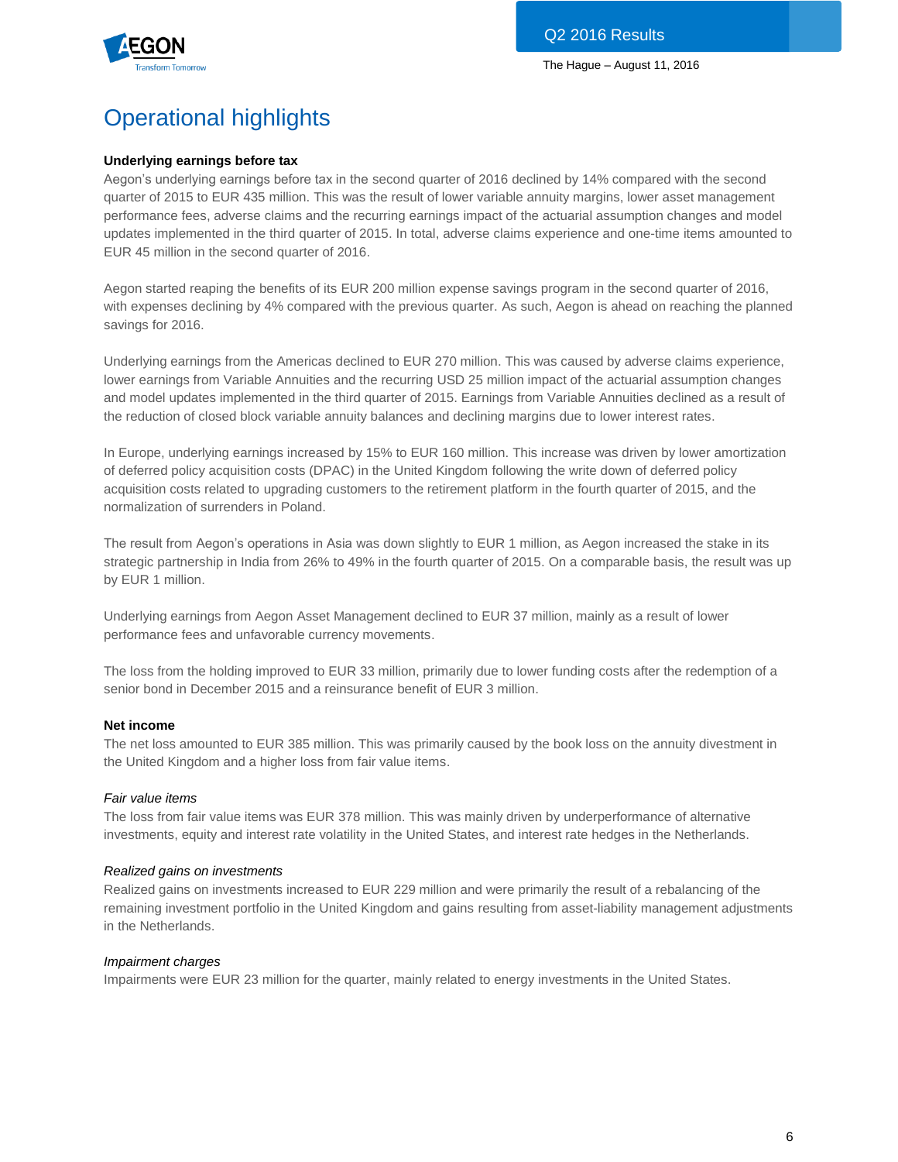

# Operational highlights

# **Underlying earnings before tax**

Aegon's underlying earnings before tax in the second quarter of 2016 declined by 14% compared with the second quarter of 2015 to EUR 435 million. This was the result of lower variable annuity margins, lower asset management performance fees, adverse claims and the recurring earnings impact of the actuarial assumption changes and model updates implemented in the third quarter of 2015. In total, adverse claims experience and one-time items amounted to EUR 45 million in the second quarter of 2016.

Aegon started reaping the benefits of its EUR 200 million expense savings program in the second quarter of 2016, with expenses declining by 4% compared with the previous quarter. As such, Aegon is ahead on reaching the planned savings for 2016.

Underlying earnings from the Americas declined to EUR 270 million. This was caused by adverse claims experience, lower earnings from Variable Annuities and the recurring USD 25 million impact of the actuarial assumption changes and model updates implemented in the third quarter of 2015. Earnings from Variable Annuities declined as a result of the reduction of closed block variable annuity balances and declining margins due to lower interest rates.

In Europe, underlying earnings increased by 15% to EUR 160 million. This increase was driven by lower amortization of deferred policy acquisition costs (DPAC) in the United Kingdom following the write down of deferred policy acquisition costs related to upgrading customers to the retirement platform in the fourth quarter of 2015, and the normalization of surrenders in Poland.

The result from Aegon's operations in Asia was down slightly to EUR 1 million, as Aegon increased the stake in its strategic partnership in India from 26% to 49% in the fourth quarter of 2015. On a comparable basis, the result was up by EUR 1 million.

Underlying earnings from Aegon Asset Management declined to EUR 37 million, mainly as a result of lower performance fees and unfavorable currency movements.

The loss from the holding improved to EUR 33 million, primarily due to lower funding costs after the redemption of a senior bond in December 2015 and a reinsurance benefit of EUR 3 million.

# **Net income**

The net loss amounted to EUR 385 million. This was primarily caused by the book loss on the annuity divestment in the United Kingdom and a higher loss from fair value items.

# *Fair value items*

The loss from fair value items was EUR 378 million. This was mainly driven by underperformance of alternative investments, equity and interest rate volatility in the United States, and interest rate hedges in the Netherlands.

# *Realized gains on investments*

Realized gains on investments increased to EUR 229 million and were primarily the result of a rebalancing of the remaining investment portfolio in the United Kingdom and gains resulting from asset-liability management adjustments in the Netherlands.

# *Impairment charges*

Impairments were EUR 23 million for the quarter, mainly related to energy investments in the United States.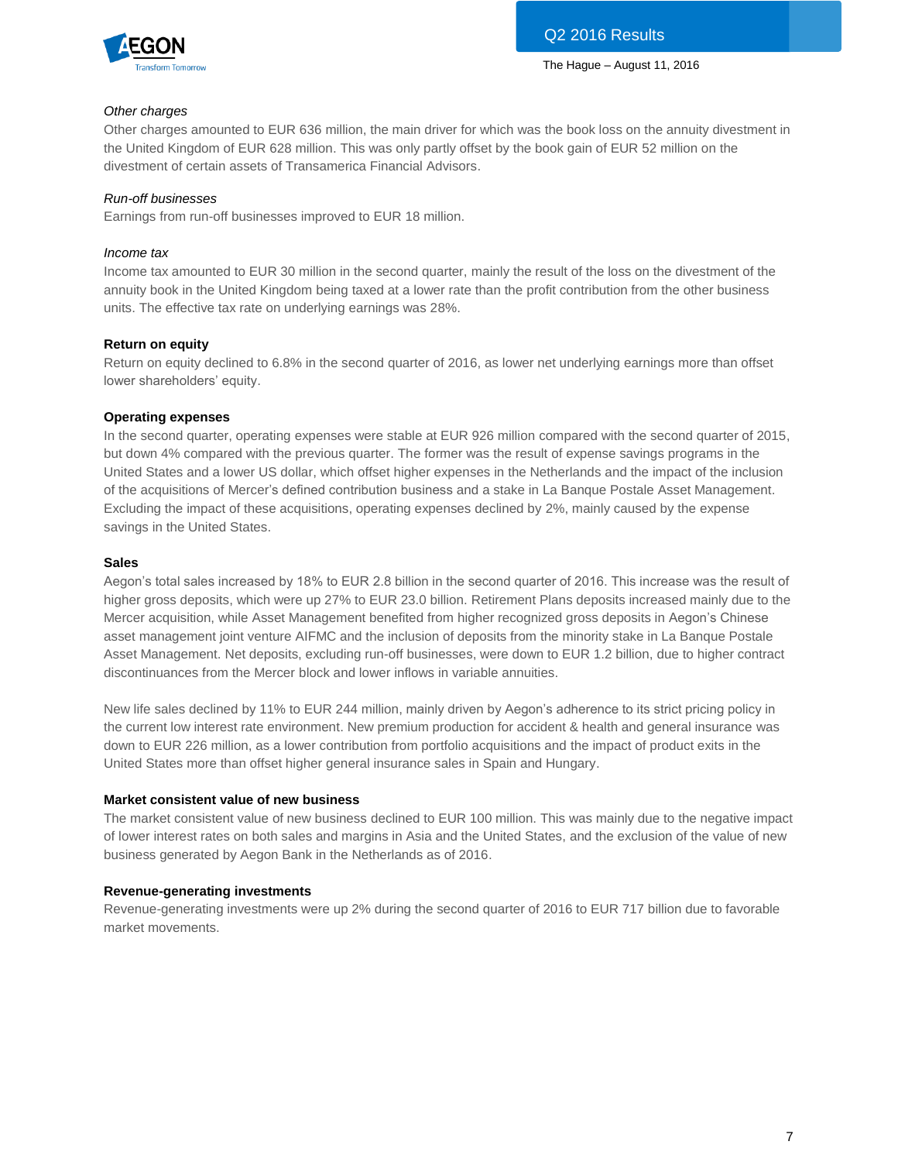

# *Other charges*

Other charges amounted to EUR 636 million, the main driver for which was the book loss on the annuity divestment in the United Kingdom of EUR 628 million. This was only partly offset by the book gain of EUR 52 million on the divestment of certain assets of Transamerica Financial Advisors.

# *Run-off businesses*

Earnings from run-off businesses improved to EUR 18 million.

# *Income tax*

Income tax amounted to EUR 30 million in the second quarter, mainly the result of the loss on the divestment of the annuity book in the United Kingdom being taxed at a lower rate than the profit contribution from the other business units. The effective tax rate on underlying earnings was 28%.

# **Return on equity**

Return on equity declined to 6.8% in the second quarter of 2016, as lower net underlying earnings more than offset lower shareholders' equity.

# **Operating expenses**

In the second quarter, operating expenses were stable at EUR 926 million compared with the second quarter of 2015, but down 4% compared with the previous quarter. The former was the result of expense savings programs in the United States and a lower US dollar, which offset higher expenses in the Netherlands and the impact of the inclusion of the acquisitions of Mercer's defined contribution business and a stake in La Banque Postale Asset Management. Excluding the impact of these acquisitions, operating expenses declined by 2%, mainly caused by the expense savings in the United States.

# **Sales**

Aegon's total sales increased by 18% to EUR 2.8 billion in the second quarter of 2016. This increase was the result of higher gross deposits, which were up 27% to EUR 23.0 billion. Retirement Plans deposits increased mainly due to the Mercer acquisition, while Asset Management benefited from higher recognized gross deposits in Aegon's Chinese asset management joint venture AIFMC and the inclusion of deposits from the minority stake in La Banque Postale Asset Management. Net deposits, excluding run-off businesses, were down to EUR 1.2 billion, due to higher contract discontinuances from the Mercer block and lower inflows in variable annuities.

New life sales declined by 11% to EUR 244 million, mainly driven by Aegon's adherence to its strict pricing policy in the current low interest rate environment. New premium production for accident & health and general insurance was down to EUR 226 million, as a lower contribution from portfolio acquisitions and the impact of product exits in the United States more than offset higher general insurance sales in Spain and Hungary.

# **Market consistent value of new business**

The market consistent value of new business declined to EUR 100 million. This was mainly due to the negative impact of lower interest rates on both sales and margins in Asia and the United States, and the exclusion of the value of new business generated by Aegon Bank in the Netherlands as of 2016.

# **Revenue-generating investments**

Revenue-generating investments were up 2% during the second quarter of 2016 to EUR 717 billion due to favorable market movements.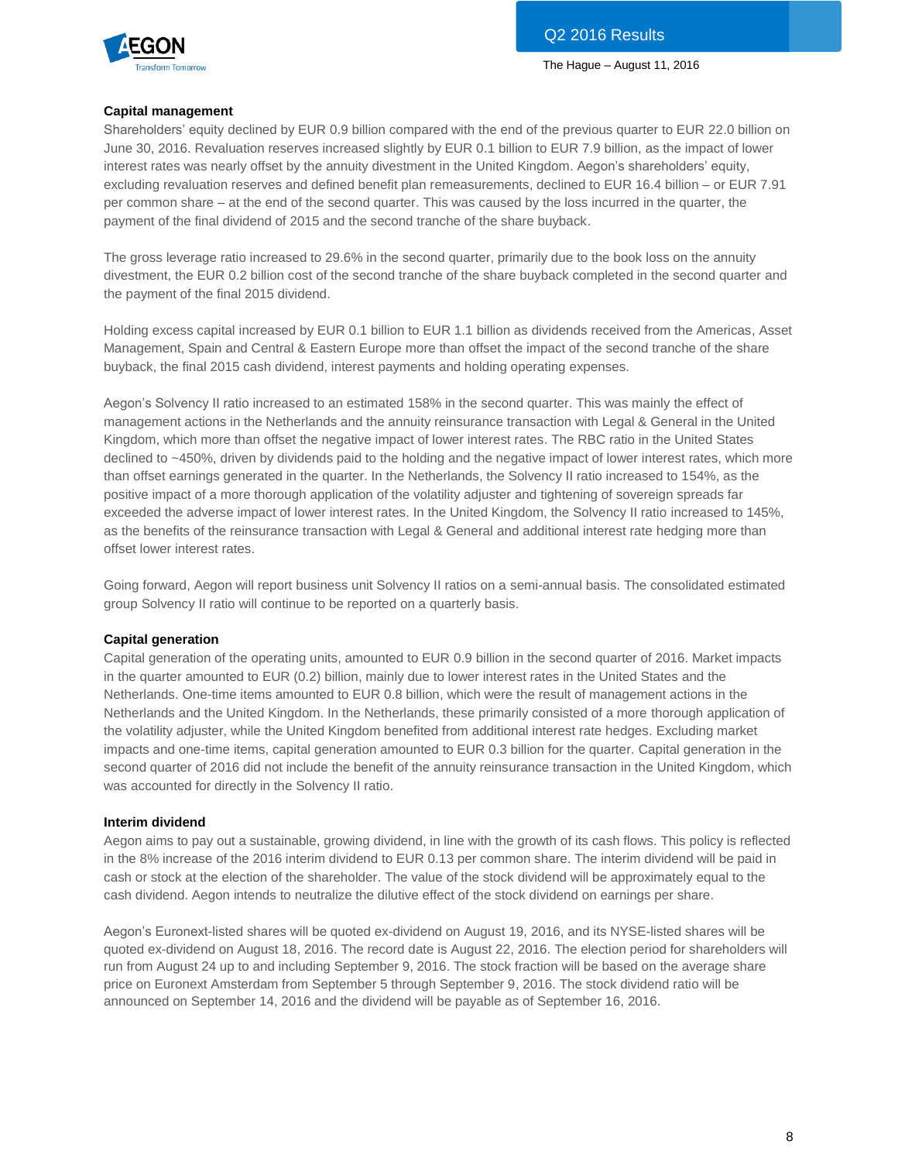



# **Capital management**

Shareholders' equity declined by EUR 0.9 billion compared with the end of the previous quarter to EUR 22.0 billion on June 30, 2016. Revaluation reserves increased slightly by EUR 0.1 billion to EUR 7.9 billion, as the impact of lower interest rates was nearly offset by the annuity divestment in the United Kingdom. Aegon's shareholders' equity, excluding revaluation reserves and defined benefit plan remeasurements, declined to EUR 16.4 billion – or EUR 7.91 per common share – at the end of the second quarter. This was caused by the loss incurred in the quarter, the payment of the final dividend of 2015 and the second tranche of the share buyback.

The gross leverage ratio increased to 29.6% in the second quarter, primarily due to the book loss on the annuity divestment, the EUR 0.2 billion cost of the second tranche of the share buyback completed in the second quarter and the payment of the final 2015 dividend.

Holding excess capital increased by EUR 0.1 billion to EUR 1.1 billion as dividends received from the Americas, Asset Management, Spain and Central & Eastern Europe more than offset the impact of the second tranche of the share buyback, the final 2015 cash dividend, interest payments and holding operating expenses.

Aegon's Solvency II ratio increased to an estimated 158% in the second quarter. This was mainly the effect of management actions in the Netherlands and the annuity reinsurance transaction with Legal & General in the United Kingdom, which more than offset the negative impact of lower interest rates. The RBC ratio in the United States declined to ~450%, driven by dividends paid to the holding and the negative impact of lower interest rates, which more than offset earnings generated in the quarter. In the Netherlands, the Solvency II ratio increased to 154%, as the positive impact of a more thorough application of the volatility adjuster and tightening of sovereign spreads far exceeded the adverse impact of lower interest rates. In the United Kingdom, the Solvency II ratio increased to 145%, as the benefits of the reinsurance transaction with Legal & General and additional interest rate hedging more than offset lower interest rates.

Going forward, Aegon will report business unit Solvency II ratios on a semi-annual basis. The consolidated estimated group Solvency II ratio will continue to be reported on a quarterly basis.

# **Capital generation**

Capital generation of the operating units, amounted to EUR 0.9 billion in the second quarter of 2016. Market impacts in the quarter amounted to EUR (0.2) billion, mainly due to lower interest rates in the United States and the Netherlands. One-time items amounted to EUR 0.8 billion, which were the result of management actions in the Netherlands and the United Kingdom. In the Netherlands, these primarily consisted of a more thorough application of the volatility adjuster, while the United Kingdom benefited from additional interest rate hedges. Excluding market impacts and one-time items, capital generation amounted to EUR 0.3 billion for the quarter. Capital generation in the second quarter of 2016 did not include the benefit of the annuity reinsurance transaction in the United Kingdom, which was accounted for directly in the Solvency II ratio.

# **Interim dividend**

Aegon aims to pay out a sustainable, growing dividend, in line with the growth of its cash flows. This policy is reflected in the 8% increase of the 2016 interim dividend to EUR 0.13 per common share. The interim dividend will be paid in cash or stock at the election of the shareholder. The value of the stock dividend will be approximately equal to the cash dividend. Aegon intends to neutralize the dilutive effect of the stock dividend on earnings per share.

Aegon's Euronext-listed shares will be quoted ex-dividend on August 19, 2016, and its NYSE-listed shares will be quoted ex-dividend on August 18, 2016. The record date is August 22, 2016. The election period for shareholders will run from August 24 up to and including September 9, 2016. The stock fraction will be based on the average share price on Euronext Amsterdam from September 5 through September 9, 2016. The stock dividend ratio will be announced on September 14, 2016 and the dividend will be payable as of September 16, 2016.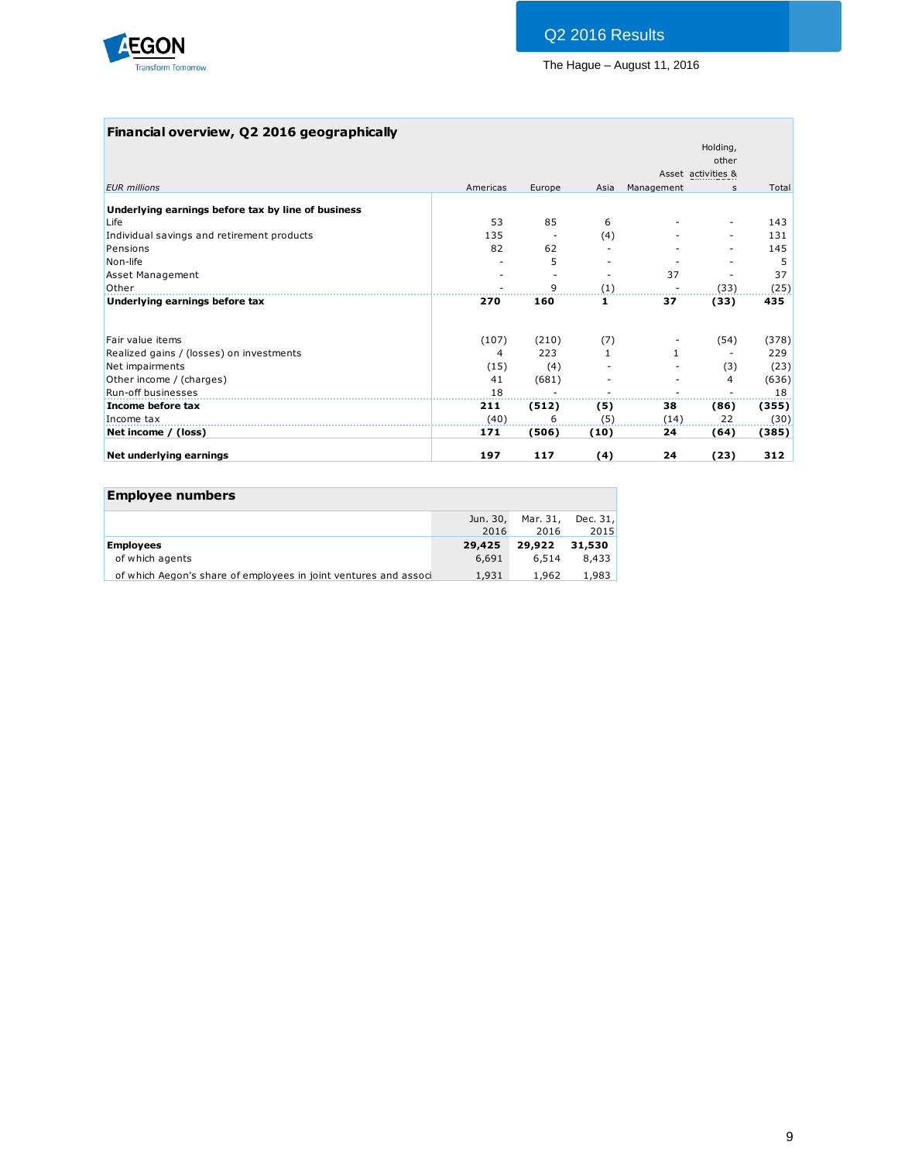

# **Financial overview, Q2 2016 geographically**

|                                                    |          |        |      |            | Holding,           |       |
|----------------------------------------------------|----------|--------|------|------------|--------------------|-------|
|                                                    |          |        |      |            | other              |       |
|                                                    |          |        |      |            | Asset activities & |       |
| <b>EUR</b> millions                                | Americas | Europe | Asia | Management | $\mathbf{s}$       | Total |
| Underlying earnings before tax by line of business |          |        |      |            |                    |       |
| Life                                               | 53       | 85     | 6    |            |                    | 143   |
| Individual savings and retirement products         | 135      |        | (4)  |            |                    | 131   |
| Pensions                                           | 82       | 62     |      |            |                    | 145   |
| Non-life                                           |          | 5      |      |            |                    | 5     |
| <b>Asset Management</b>                            |          |        |      | 37         |                    | 37    |
| Other                                              |          | 9      | (1)  |            | (33)               | (25)  |
| Underlying earnings before tax                     | 270      | 160    | 1    | 37         | (33)               | 435   |
| Fair value items                                   | (107)    | (210)  | (7)  |            | (54)               | (378) |
| Realized gains / (losses) on investments           | 4        | 223    | 1    |            |                    | 229   |
| Net impairments                                    | (15)     | (4)    |      |            | (3)                | (23)  |
| Other income / (charges)                           | 41       | (681)  |      |            | 4                  | (636) |
| Run-off businesses                                 | 18       |        |      |            |                    | 18    |
| Income before tax                                  | 211      | (512)  | (5)  | 38         | (86)               | (355) |
| Income tax                                         | (40)     | 6      | (5)  | (14)       | 22                 | (30)  |
| Net income / (loss)                                | 171      | (506)  | (10) | 24         | (64)               | (385) |
| Net underlying earnings                            | 197      | 117    | (4)  | 24         | (23)               | 312   |

| <b>Employee numbers</b>                                          |          |          |          |
|------------------------------------------------------------------|----------|----------|----------|
|                                                                  | Jun. 30, | Mar. 31, | Dec. 31, |
|                                                                  | 2016     | 2016     | 2015     |
| <b>Employees</b>                                                 | 29,425   | 29,922   | 31.530   |
| of which agents                                                  | 6,691    | 6.514    | 8,433    |
| of which Aegon's share of employees in joint ventures and associ | 1,931    | 1,962    | 1,983    |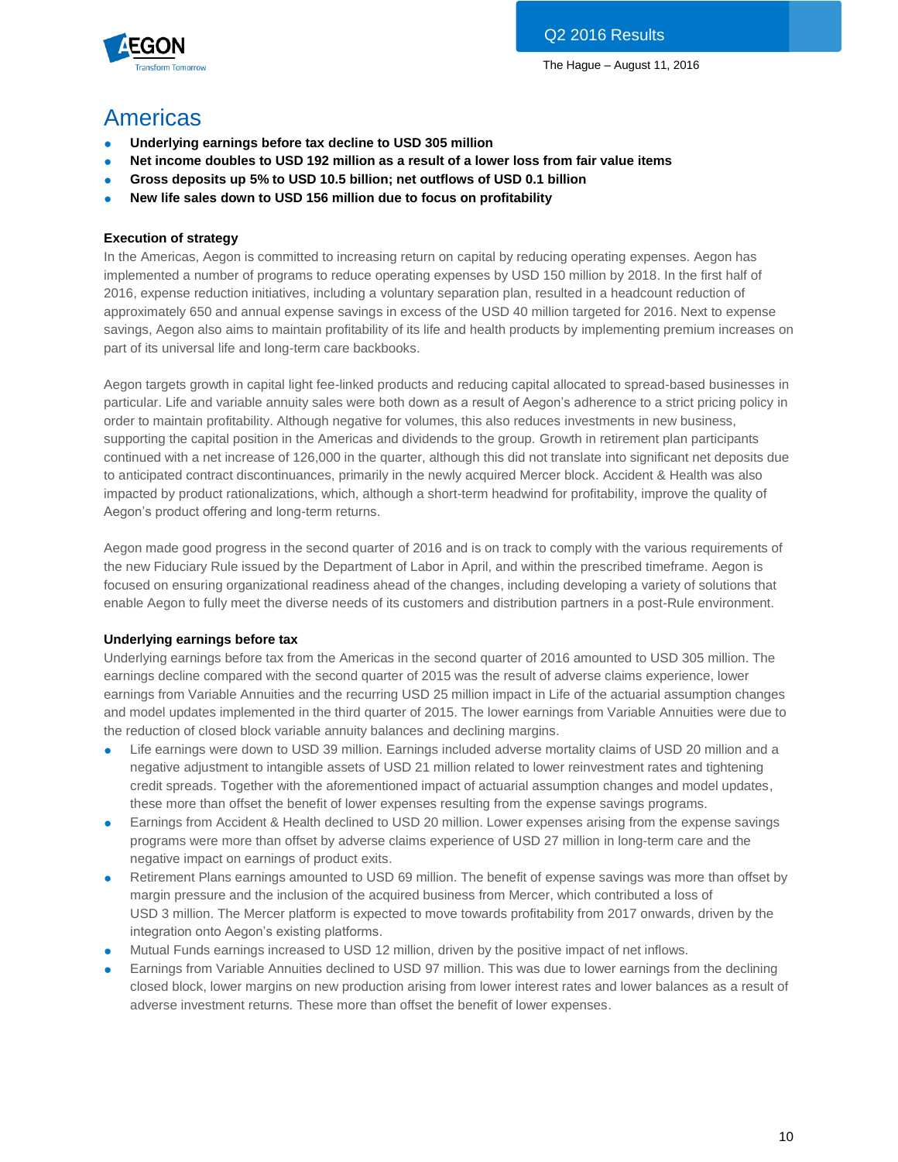

# Americas

- **Underlying earnings before tax decline to USD 305 million**
- **Net income doubles to USD 192 million as a result of a lower loss from fair value items**
- **Gross deposits up 5% to USD 10.5 billion; net outflows of USD 0.1 billion**
- **New life sales down to USD 156 million due to focus on profitability**

# **Execution of strategy**

In the Americas, Aegon is committed to increasing return on capital by reducing operating expenses. Aegon has implemented a number of programs to reduce operating expenses by USD 150 million by 2018. In the first half of 2016, expense reduction initiatives, including a voluntary separation plan, resulted in a headcount reduction of approximately 650 and annual expense savings in excess of the USD 40 million targeted for 2016. Next to expense savings, Aegon also aims to maintain profitability of its life and health products by implementing premium increases on part of its universal life and long-term care backbooks.

Aegon targets growth in capital light fee-linked products and reducing capital allocated to spread-based businesses in particular. Life and variable annuity sales were both down as a result of Aegon's adherence to a strict pricing policy in order to maintain profitability. Although negative for volumes, this also reduces investments in new business, supporting the capital position in the Americas and dividends to the group. Growth in retirement plan participants continued with a net increase of 126,000 in the quarter, although this did not translate into significant net deposits due to anticipated contract discontinuances, primarily in the newly acquired Mercer block. Accident & Health was also impacted by product rationalizations, which, although a short-term headwind for profitability, improve the quality of Aegon's product offering and long-term returns.

Aegon made good progress in the second quarter of 2016 and is on track to comply with the various requirements of the new Fiduciary Rule issued by the Department of Labor in April, and within the prescribed timeframe. Aegon is focused on ensuring organizational readiness ahead of the changes, including developing a variety of solutions that enable Aegon to fully meet the diverse needs of its customers and distribution partners in a post-Rule environment.

# **Underlying earnings before tax**

Underlying earnings before tax from the Americas in the second quarter of 2016 amounted to USD 305 million. The earnings decline compared with the second quarter of 2015 was the result of adverse claims experience, lower earnings from Variable Annuities and the recurring USD 25 million impact in Life of the actuarial assumption changes and model updates implemented in the third quarter of 2015. The lower earnings from Variable Annuities were due to the reduction of closed block variable annuity balances and declining margins.

- Life earnings were down to USD 39 million. Earnings included adverse mortality claims of USD 20 million and a negative adjustment to intangible assets of USD 21 million related to lower reinvestment rates and tightening credit spreads. Together with the aforementioned impact of actuarial assumption changes and model updates, these more than offset the benefit of lower expenses resulting from the expense savings programs.
- Earnings from Accident & Health declined to USD 20 million. Lower expenses arising from the expense savings programs were more than offset by adverse claims experience of USD 27 million in long-term care and the negative impact on earnings of product exits.
- Retirement Plans earnings amounted to USD 69 million. The benefit of expense savings was more than offset by margin pressure and the inclusion of the acquired business from Mercer, which contributed a loss of USD 3 million. The Mercer platform is expected to move towards profitability from 2017 onwards, driven by the integration onto Aegon's existing platforms.
- Mutual Funds earnings increased to USD 12 million, driven by the positive impact of net inflows.
- Earnings from Variable Annuities declined to USD 97 million. This was due to lower earnings from the declining closed block, lower margins on new production arising from lower interest rates and lower balances as a result of adverse investment returns. These more than offset the benefit of lower expenses.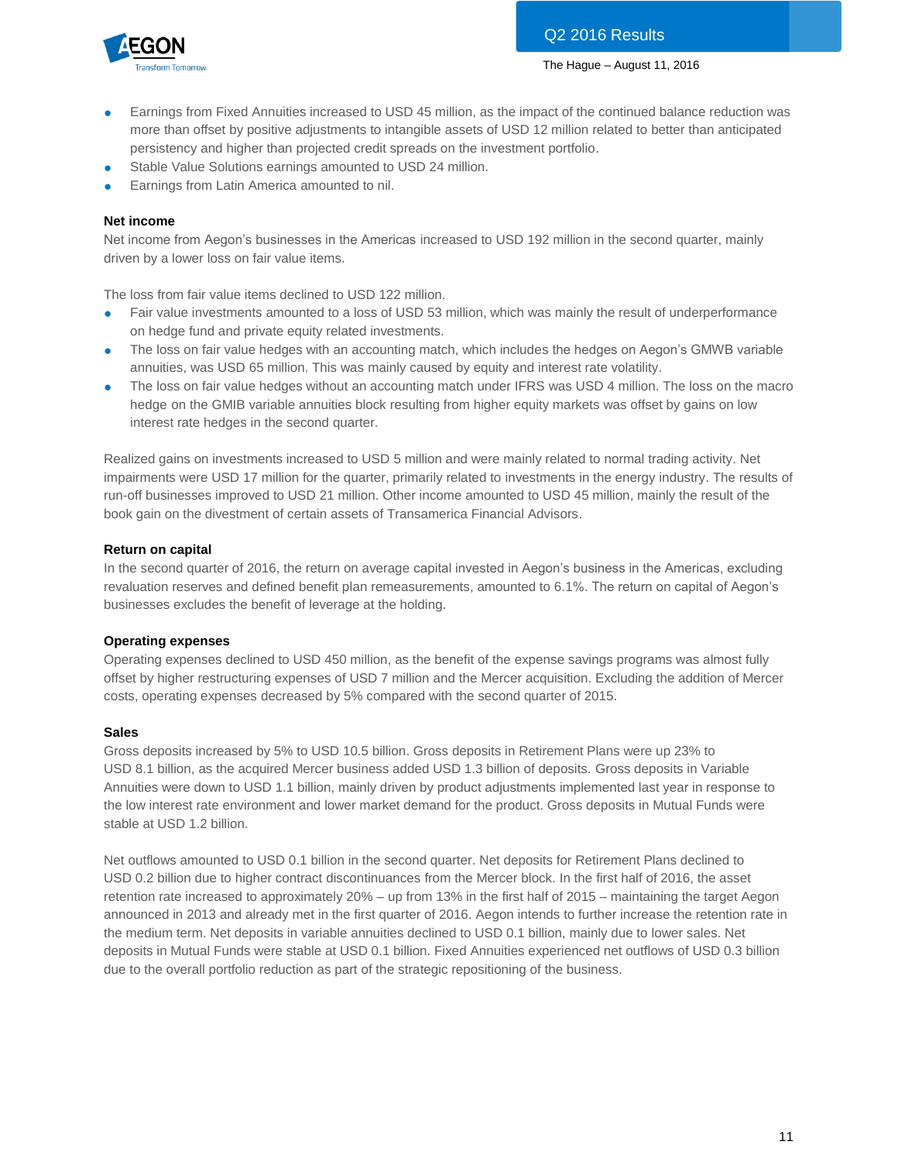

- Earnings from Fixed Annuities increased to USD 45 million, as the impact of the continued balance reduction was more than offset by positive adjustments to intangible assets of USD 12 million related to better than anticipated persistency and higher than projected credit spreads on the investment portfolio.
- Stable Value Solutions earnings amounted to USD 24 million.
- Earnings from Latin America amounted to nil.

# **Net income**

Net income from Aegon's businesses in the Americas increased to USD 192 million in the second quarter, mainly driven by a lower loss on fair value items.

The loss from fair value items declined to USD 122 million.

- Fair value investments amounted to a loss of USD 53 million, which was mainly the result of underperformance on hedge fund and private equity related investments.
- The loss on fair value hedges with an accounting match, which includes the hedges on Aegon's GMWB variable annuities, was USD 65 million. This was mainly caused by equity and interest rate volatility.
- The loss on fair value hedges without an accounting match under IFRS was USD 4 million. The loss on the macro hedge on the GMIB variable annuities block resulting from higher equity markets was offset by gains on low interest rate hedges in the second quarter.

Realized gains on investments increased to USD 5 million and were mainly related to normal trading activity. Net impairments were USD 17 million for the quarter, primarily related to investments in the energy industry. The results of run-off businesses improved to USD 21 million. Other income amounted to USD 45 million, mainly the result of the book gain on the divestment of certain assets of Transamerica Financial Advisors.

# **Return on capital**

In the second quarter of 2016, the return on average capital invested in Aegon's business in the Americas, excluding revaluation reserves and defined benefit plan remeasurements, amounted to 6.1%. The return on capital of Aegon's businesses excludes the benefit of leverage at the holding.

# **Operating expenses**

Operating expenses declined to USD 450 million, as the benefit of the expense savings programs was almost fully offset by higher restructuring expenses of USD 7 million and the Mercer acquisition. Excluding the addition of Mercer costs, operating expenses decreased by 5% compared with the second quarter of 2015.

#### **Sales**

Gross deposits increased by 5% to USD 10.5 billion. Gross deposits in Retirement Plans were up 23% to USD 8.1 billion, as the acquired Mercer business added USD 1.3 billion of deposits. Gross deposits in Variable Annuities were down to USD 1.1 billion, mainly driven by product adjustments implemented last year in response to the low interest rate environment and lower market demand for the product. Gross deposits in Mutual Funds were stable at USD 1.2 billion.

Net outflows amounted to USD 0.1 billion in the second quarter. Net deposits for Retirement Plans declined to USD 0.2 billion due to higher contract discontinuances from the Mercer block. In the first half of 2016, the asset retention rate increased to approximately 20% – up from 13% in the first half of 2015 – maintaining the target Aegon announced in 2013 and already met in the first quarter of 2016. Aegon intends to further increase the retention rate in the medium term. Net deposits in variable annuities declined to USD 0.1 billion, mainly due to lower sales. Net deposits in Mutual Funds were stable at USD 0.1 billion. Fixed Annuities experienced net outflows of USD 0.3 billion due to the overall portfolio reduction as part of the strategic repositioning of the business.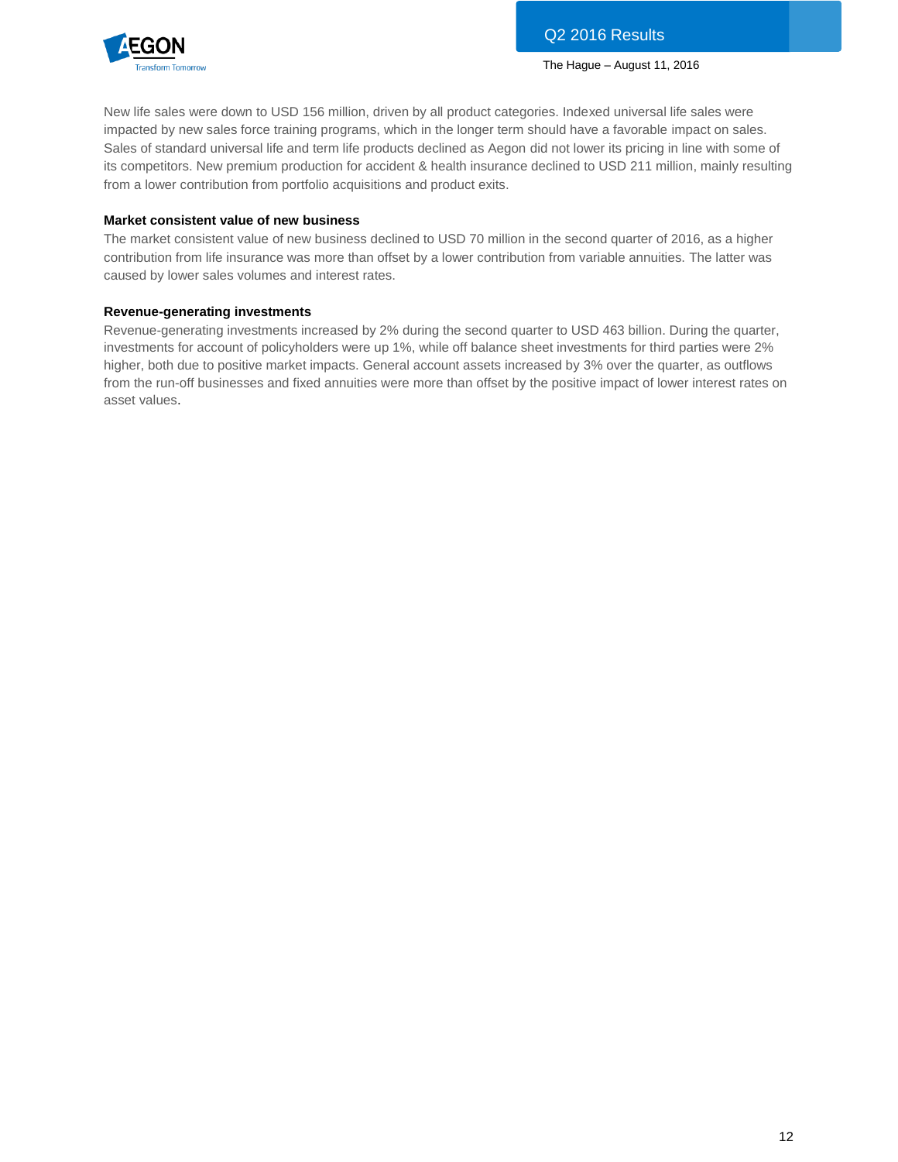

New life sales were down to USD 156 million, driven by all product categories. Indexed universal life sales were impacted by new sales force training programs, which in the longer term should have a favorable impact on sales. Sales of standard universal life and term life products declined as Aegon did not lower its pricing in line with some of its competitors. New premium production for accident & health insurance declined to USD 211 million, mainly resulting from a lower contribution from portfolio acquisitions and product exits.

# **Market consistent value of new business**

The market consistent value of new business declined to USD 70 million in the second quarter of 2016, as a higher contribution from life insurance was more than offset by a lower contribution from variable annuities. The latter was caused by lower sales volumes and interest rates.

### **Revenue-generating investments**

Revenue-generating investments increased by 2% during the second quarter to USD 463 billion. During the quarter, investments for account of policyholders were up 1%, while off balance sheet investments for third parties were 2% higher, both due to positive market impacts. General account assets increased by 3% over the quarter, as outflows from the run-off businesses and fixed annuities were more than offset by the positive impact of lower interest rates on asset values.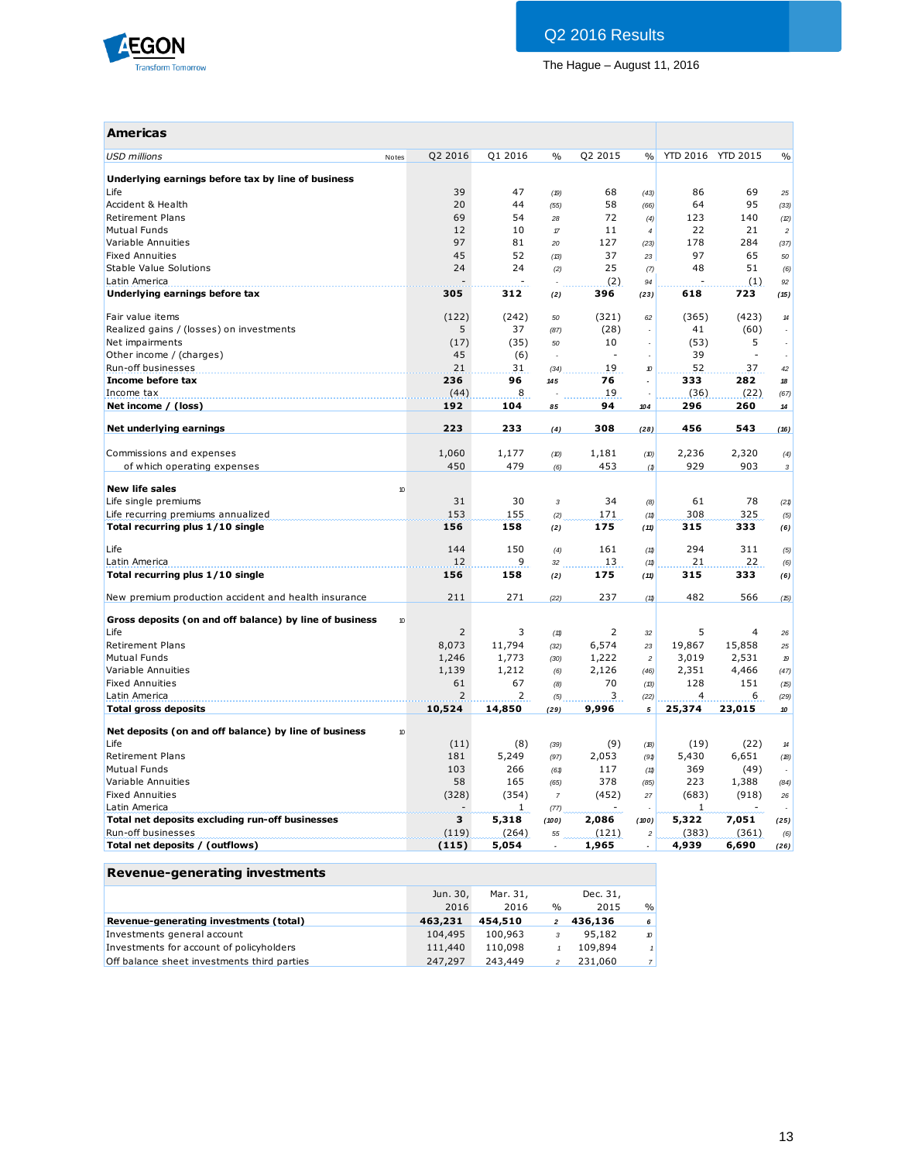

| <b>Americas</b>                                         |                |         |                |         |                          |                   |        |                            |
|---------------------------------------------------------|----------------|---------|----------------|---------|--------------------------|-------------------|--------|----------------------------|
| <b>USD millions</b><br>Notes                            | Q2 2016        | Q1 2016 | $\%$           | Q2 2015 | %                        | YTD 2016 YTD 2015 |        | $\frac{0}{0}$              |
| Underlying earnings before tax by line of business      |                |         |                |         |                          |                   |        |                            |
| Life                                                    | 39             | 47      | (19)           | 68      | (43)                     | 86                | 69     | 25                         |
| Accident & Health                                       | 20             | 44      | (55)           | 58      | (66)                     | 64                | 95     | (33)                       |
| <b>Retirement Plans</b>                                 | 69             | 54      | 28             | 72      | (4)                      | 123               | 140    | (2)                        |
| <b>Mutual Funds</b>                                     | 12             | 10      | $\tau$         | 11      | $\overline{4}$           | 22                | 21     | $\boldsymbol{2}$           |
| Variable Annuities                                      | 97             | 81      | 20             | 127     | (23)                     | 178               | 284    | (37)                       |
| <b>Fixed Annuities</b>                                  | 45             | 52      | (13)           | 37      | 23                       | 97                | 65     | 50                         |
| Stable Value Solutions                                  | 24             | 24      | (2)            | 25      | (7)                      | 48                | 51     | (6)                        |
| Latin America                                           |                |         |                | (2)     | 94                       |                   | (1)    | 92                         |
| Underlying earnings before tax                          | 305            | 312     | (2)            | 396     | (23)                     | 618               | 723    | (15)                       |
| Fair value items                                        | (122)          | (242)   | 50             | (321)   | 62                       | (365)             | (423)  | $14$                       |
| Realized gains / (losses) on investments                | 5              | 37      | (87)           | (28)    |                          | 41                | (60)   |                            |
| Net impairments                                         | (17)           | (35)    | 50             | 10      |                          | (53)              | 5      |                            |
| Other income / (charges)                                | 45             | (6)     | ÷,             |         |                          | 39                |        |                            |
| Run-off businesses                                      | 21             | 31      | (34)           | 19      | $\boldsymbol{v}$         | 52                | 37     | 42                         |
| Income before tax                                       | 236            | 96      | 145            | 76      |                          | 333               | 282    | 18                         |
| Income tax                                              | (44)           | 8       |                | 19      |                          | (36)              | (22)   | (67)                       |
| Net income / (loss)                                     | 192            | 104     | 85             | 94      | 104                      | 296               | 260    | $14\,$                     |
| Net underlying earnings                                 | 223            | 233     | (4)            | 308     | (28)                     | 456               | 543    | (16)                       |
| Commissions and expenses                                | 1,060          | 1,177   | (D)            | 1,181   | (10)                     | 2,236             | 2,320  | (4)                        |
| of which operating expenses                             | 450            | 479     | (6)            | 453     | (1)                      | 929               | 903    | $\sqrt{3}$                 |
|                                                         |                |         |                |         |                          |                   |        |                            |
| <b>New life sales</b>                                   | 10             |         |                |         |                          |                   |        |                            |
| Life single premiums                                    | 31             | 30      | $\overline{3}$ | 34      | (8)                      | 61                | 78     | (21)                       |
| Life recurring premiums annualized                      | 153            | 155     | (2)            | 171     | (11)                     | 308               | 325    | (5)                        |
| Total recurring plus 1/10 single                        | 156            | 158     | (2)            | 175     | (11)                     | 315               | 333    | (6)                        |
| Life                                                    | 144            | 150     | (4)            | 161     | (11)                     | 294               | 311    | (5)                        |
| Latin America                                           | 12             | 9       | 32             | 13      | (11)                     | 21                | 22     | (6)                        |
| Total recurring plus 1/10 single                        | 156            | 158     | (2)            | 175     | (11)                     | 315               | 333    | (6)                        |
| New premium production accident and health insurance    | 211            | 271     | (22)           | 237     | (11)                     | 482               | 566    | (15)                       |
| Gross deposits (on and off balance) by line of business | 10             |         |                |         |                          |                   |        |                            |
| Life                                                    | $\overline{2}$ | 3       | (11)           | 2       | 32                       | 5                 | 4      | 26                         |
| <b>Retirement Plans</b>                                 | 8,073          | 11,794  | (32)           | 6,574   | 23                       | 19,867            | 15,858 | 25                         |
| <b>Mutual Funds</b>                                     | 1,246          | 1,773   | (30)           | 1,222   | $\overline{c}$           | 3,019             | 2,531  | $\mathcal D$               |
| Variable Annuities                                      | 1,139          | 1,212   | (6)            | 2,126   | (46)                     | 2,351             | 4,466  | (47)                       |
| <b>Fixed Annuities</b>                                  | 61             | 67      |                | 70      | (13)                     | 128               | 151    | (15)                       |
| Latin America                                           | $\overline{2}$ | 2       | (8)            | 3       | (22)                     | 4                 | 6      |                            |
| <b>Total gross deposits</b>                             | 10,524         | 14,850  | (5)<br>(29)    | 9,996   | 5                        | 25,374            | 23,015 | (29)<br>10                 |
|                                                         |                |         |                |         |                          |                   |        |                            |
| Net deposits (on and off balance) by line of business   | 10             |         |                |         |                          |                   |        |                            |
| Life                                                    | (11)           | (8)     | (39)           | (9)     | (18)                     | (19)              | (22)   | $\boldsymbol{\mathcal{H}}$ |
| <b>Retirement Plans</b>                                 | 181            | 5,249   | (97)           | 2,053   | (91)                     | 5,430             | 6,651  | (18)                       |
| <b>Mutual Funds</b>                                     | 103            | 266     | (61)           | 117     | (11)                     | 369               | (49)   |                            |
| Variable Annuities                                      | 58             | 165     | (65)           | 378     | (85)                     | 223               | 1,388  | (84)                       |
| <b>Fixed Annuities</b>                                  | (328)          | (354)   | $\overline{7}$ | (452)   | 27                       | (683)             | (918)  | 26                         |
| Latin America                                           |                | 1       | (77)           |         |                          | 1                 |        |                            |
| Total net deposits excluding run-off businesses         | з              | 5,318   | (100)          | 2,086   | (100)                    | 5,322             | 7,051  | (25)                       |
| Run-off businesses                                      | (119)          | (264)   | 55             | (121)   | $\overline{\phantom{a}}$ | (383)             | (361)  | (6)                        |
| Total net deposits / (outflows)                         | (115)          | 5,054   |                | 1,965   | $\overline{a}$           | 4,939             | 6,690  | (26)                       |

# **Revenue-generating investments**

|                                             | Jun. 30, | Mar. 31. |              | Dec. 31, |                  |
|---------------------------------------------|----------|----------|--------------|----------|------------------|
|                                             | 2016     | 2016     | %            | 2015     | $\frac{0}{0}$    |
| Revenue-generating investments (total)      | 463.231  | 454,510  | $\mathbf{2}$ | 436,136  | 6                |
| Investments general account                 | 104,495  | 100,963  | 3            | 95,182   | $\boldsymbol{v}$ |
| Investments for account of policyholders    | 111,440  | 110,098  |              | 109,894  |                  |
| Off balance sheet investments third parties | 247,297  | 243,449  |              | 231,060  | 7 <sub>1</sub>   |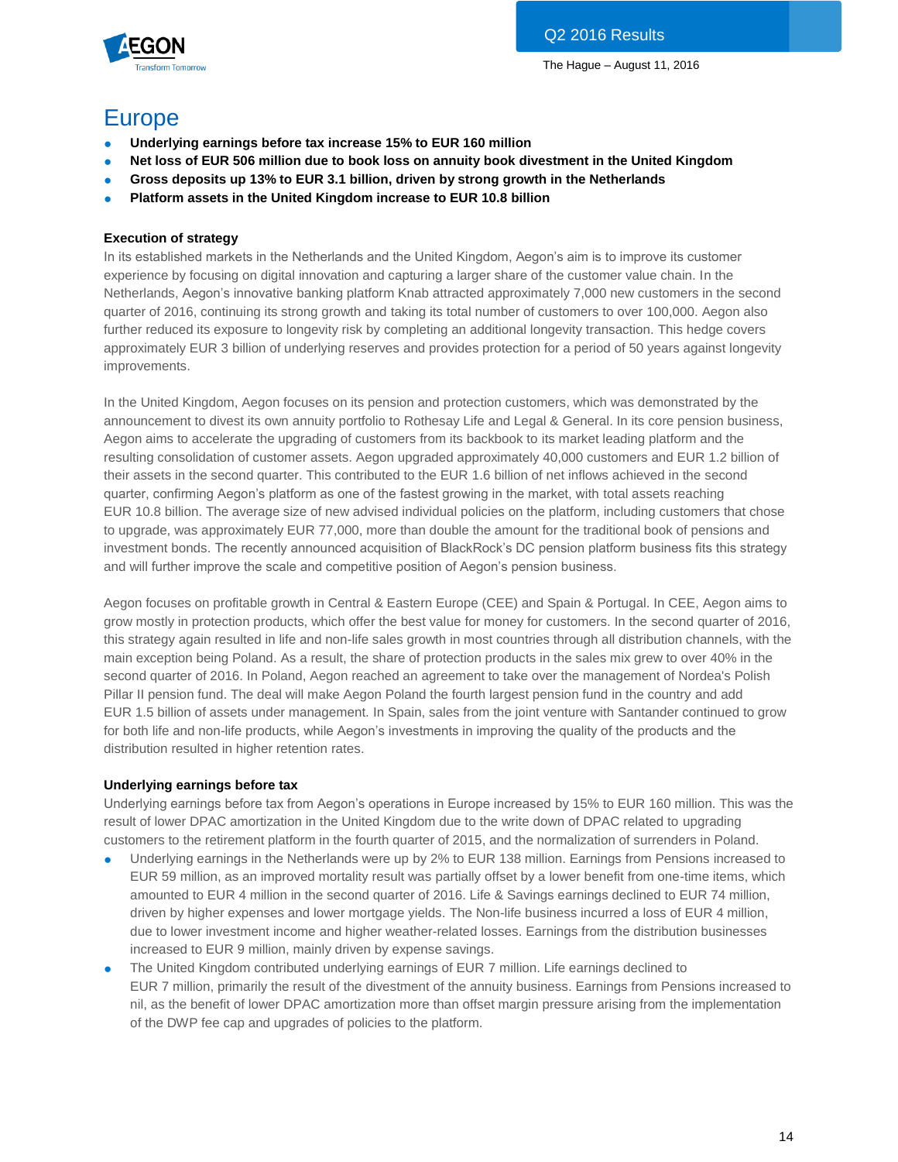

# Europe

- **Underlying earnings before tax increase 15% to EUR 160 million**
- **Net loss of EUR 506 million due to book loss on annuity book divestment in the United Kingdom**
- **Gross deposits up 13% to EUR 3.1 billion, driven by strong growth in the Netherlands**
- **Platform assets in the United Kingdom increase to EUR 10.8 billion**

# **Execution of strategy**

In its established markets in the Netherlands and the United Kingdom, Aegon's aim is to improve its customer experience by focusing on digital innovation and capturing a larger share of the customer value chain. In the Netherlands, Aegon's innovative banking platform Knab attracted approximately 7,000 new customers in the second quarter of 2016, continuing its strong growth and taking its total number of customers to over 100,000. Aegon also further reduced its exposure to longevity risk by completing an additional longevity transaction. This hedge covers approximately EUR 3 billion of underlying reserves and provides protection for a period of 50 years against longevity improvements.

In the United Kingdom, Aegon focuses on its pension and protection customers, which was demonstrated by the announcement to divest its own annuity portfolio to Rothesay Life and Legal & General. In its core pension business, Aegon aims to accelerate the upgrading of customers from its backbook to its market leading platform and the resulting consolidation of customer assets. Aegon upgraded approximately 40,000 customers and EUR 1.2 billion of their assets in the second quarter. This contributed to the EUR 1.6 billion of net inflows achieved in the second quarter, confirming Aegon's platform as one of the fastest growing in the market, with total assets reaching EUR 10.8 billion. The average size of new advised individual policies on the platform, including customers that chose to upgrade, was approximately EUR 77,000, more than double the amount for the traditional book of pensions and investment bonds. The recently announced acquisition of BlackRock's DC pension platform business fits this strategy and will further improve the scale and competitive position of Aegon's pension business.

Aegon focuses on profitable growth in Central & Eastern Europe (CEE) and Spain & Portugal. In CEE, Aegon aims to grow mostly in protection products, which offer the best value for money for customers. In the second quarter of 2016, this strategy again resulted in life and non-life sales growth in most countries through all distribution channels, with the main exception being Poland. As a result, the share of protection products in the sales mix grew to over 40% in the second quarter of 2016. In Poland, Aegon reached an agreement to take over the management of Nordea's Polish Pillar II pension fund. The deal will make Aegon Poland the fourth largest pension fund in the country and add EUR 1.5 billion of assets under management. In Spain, sales from the joint venture with Santander continued to grow for both life and non-life products, while Aegon's investments in improving the quality of the products and the distribution resulted in higher retention rates.

# **Underlying earnings before tax**

Underlying earnings before tax from Aegon's operations in Europe increased by 15% to EUR 160 million. This was the result of lower DPAC amortization in the United Kingdom due to the write down of DPAC related to upgrading customers to the retirement platform in the fourth quarter of 2015, and the normalization of surrenders in Poland.

- Underlying earnings in the Netherlands were up by 2% to EUR 138 million. Earnings from Pensions increased to EUR 59 million, as an improved mortality result was partially offset by a lower benefit from one-time items, which amounted to EUR 4 million in the second quarter of 2016. Life & Savings earnings declined to EUR 74 million, driven by higher expenses and lower mortgage yields. The Non-life business incurred a loss of EUR 4 million, due to lower investment income and higher weather-related losses. Earnings from the distribution businesses increased to EUR 9 million, mainly driven by expense savings.
- The United Kingdom contributed underlying earnings of EUR 7 million. Life earnings declined to EUR 7 million, primarily the result of the divestment of the annuity business. Earnings from Pensions increased to nil, as the benefit of lower DPAC amortization more than offset margin pressure arising from the implementation of the DWP fee cap and upgrades of policies to the platform.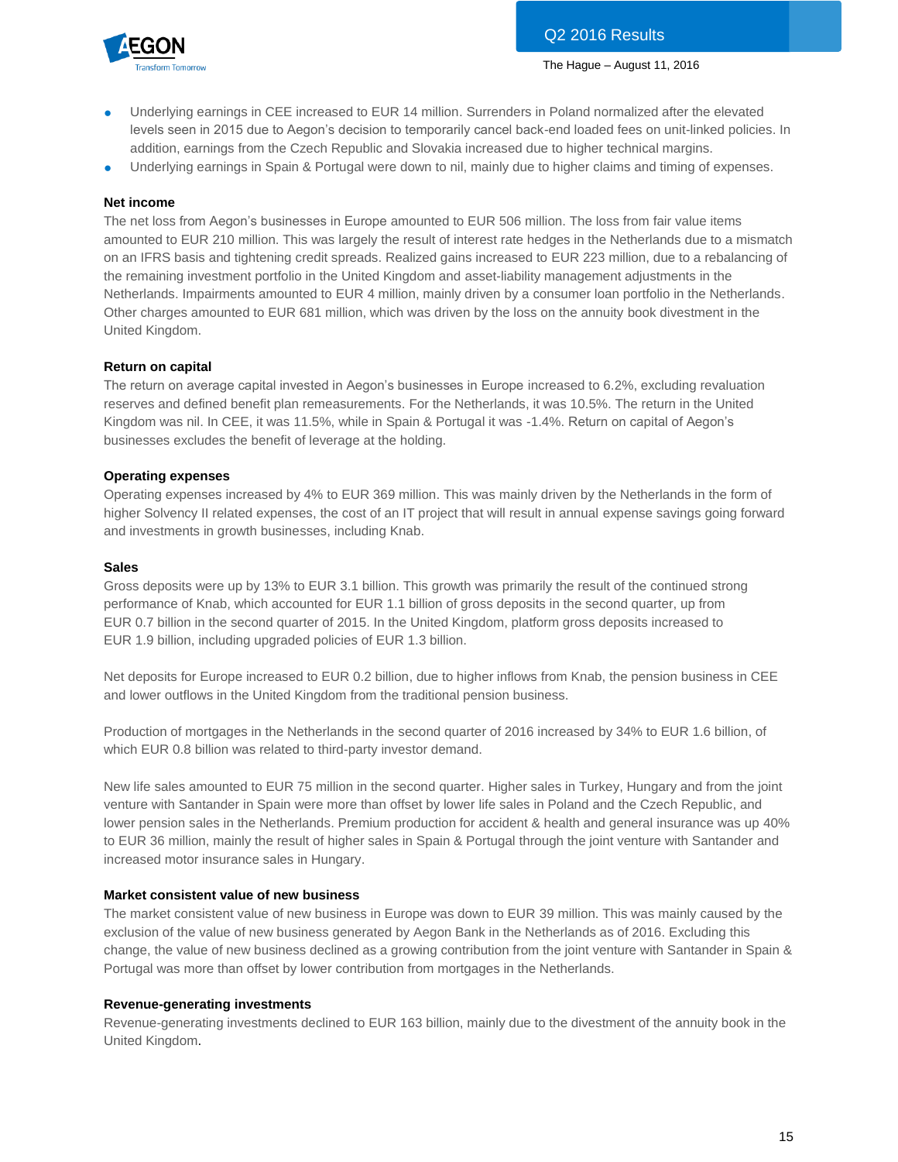

- Underlying earnings in CEE increased to EUR 14 million. Surrenders in Poland normalized after the elevated levels seen in 2015 due to Aegon's decision to temporarily cancel back-end loaded fees on unit-linked policies. In addition, earnings from the Czech Republic and Slovakia increased due to higher technical margins.
- Underlying earnings in Spain & Portugal were down to nil, mainly due to higher claims and timing of expenses.

# **Net income**

The net loss from Aegon's businesses in Europe amounted to EUR 506 million. The loss from fair value items amounted to EUR 210 million. This was largely the result of interest rate hedges in the Netherlands due to a mismatch on an IFRS basis and tightening credit spreads. Realized gains increased to EUR 223 million, due to a rebalancing of the remaining investment portfolio in the United Kingdom and asset-liability management adjustments in the Netherlands. Impairments amounted to EUR 4 million, mainly driven by a consumer loan portfolio in the Netherlands. Other charges amounted to EUR 681 million, which was driven by the loss on the annuity book divestment in the United Kingdom.

# **Return on capital**

The return on average capital invested in Aegon's businesses in Europe increased to 6.2%, excluding revaluation reserves and defined benefit plan remeasurements. For the Netherlands, it was 10.5%. The return in the United Kingdom was nil. In CEE, it was 11.5%, while in Spain & Portugal it was -1.4%. Return on capital of Aegon's businesses excludes the benefit of leverage at the holding.

# **Operating expenses**

Operating expenses increased by 4% to EUR 369 million. This was mainly driven by the Netherlands in the form of higher Solvency II related expenses, the cost of an IT project that will result in annual expense savings going forward and investments in growth businesses, including Knab.

# **Sales**

Gross deposits were up by 13% to EUR 3.1 billion. This growth was primarily the result of the continued strong performance of Knab, which accounted for EUR 1.1 billion of gross deposits in the second quarter, up from EUR 0.7 billion in the second quarter of 2015. In the United Kingdom, platform gross deposits increased to EUR 1.9 billion, including upgraded policies of EUR 1.3 billion.

Net deposits for Europe increased to EUR 0.2 billion, due to higher inflows from Knab, the pension business in CEE and lower outflows in the United Kingdom from the traditional pension business.

Production of mortgages in the Netherlands in the second quarter of 2016 increased by 34% to EUR 1.6 billion, of which EUR 0.8 billion was related to third-party investor demand.

New life sales amounted to EUR 75 million in the second quarter. Higher sales in Turkey, Hungary and from the joint venture with Santander in Spain were more than offset by lower life sales in Poland and the Czech Republic, and lower pension sales in the Netherlands. Premium production for accident & health and general insurance was up 40% to EUR 36 million, mainly the result of higher sales in Spain & Portugal through the joint venture with Santander and increased motor insurance sales in Hungary.

# **Market consistent value of new business**

The market consistent value of new business in Europe was down to EUR 39 million. This was mainly caused by the exclusion of the value of new business generated by Aegon Bank in the Netherlands as of 2016. Excluding this change, the value of new business declined as a growing contribution from the joint venture with Santander in Spain & Portugal was more than offset by lower contribution from mortgages in the Netherlands.

# **Revenue-generating investments**

Revenue-generating investments declined to EUR 163 billion, mainly due to the divestment of the annuity book in the United Kingdom.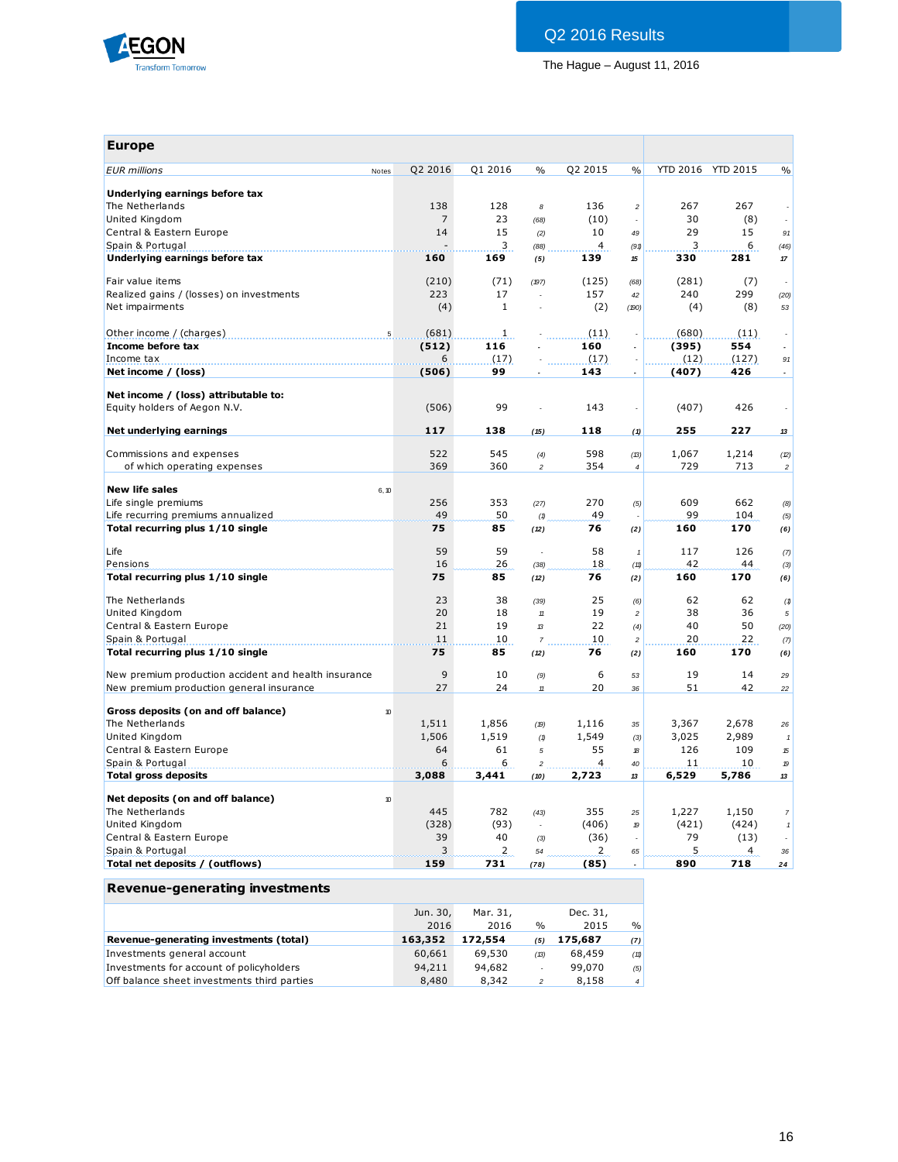

| <b>Europe</b>                                        |                |                     |                |              |                |             |                   |                  |
|------------------------------------------------------|----------------|---------------------|----------------|--------------|----------------|-------------|-------------------|------------------|
| <b>EUR</b> millions<br>Notes                         | Q2 2016        | Q1 2016             | $\frac{0}{0}$  | Q2 2015      | $\frac{0}{0}$  |             | YTD 2016 YTD 2015 | $\frac{0}{0}$    |
| Underlying earnings before tax                       |                |                     |                |              |                |             |                   |                  |
| The Netherlands                                      | 138            | 128                 | 8              | 136          | $\sqrt{2}$     | 267         | 267               |                  |
| United Kingdom                                       | $\overline{7}$ | 23                  | (68)           | (10)         |                | 30          | (8)               |                  |
| Central & Eastern Europe                             | 14             | 15                  | (2)            | 10           | 49             | 29          | 15                | 91               |
| Spain & Portugal                                     |                | 3                   | (88)           | 4            | (91)           | 3           | 6                 | (46)             |
| Underlying earnings before tax                       | 160            | 169                 | (5)            | 139          | 15             | 330         | 281               | $17\,$           |
|                                                      |                |                     |                |              |                |             |                   |                  |
| Fair value items                                     | (210)          | (71)                | (197)          | (125)        | (68)           | (281)       | (7)               |                  |
| Realized gains / (losses) on investments             | 223            | 17                  | $\overline{a}$ | 157          | 42             | 240         | 299               | (20)             |
| Net impairments                                      | (4)            | $\mathbf{1}$        | ä,             | (2)          | (190)          | (4)         | (8)               | 53               |
|                                                      | (681)          |                     |                |              |                |             |                   |                  |
| Other income / (charges)<br>5<br>Income before tax   |                | $\mathbf{1}$<br>116 |                | (11)<br>160  |                | (680)       | (11)<br>554       |                  |
|                                                      | (512)          |                     |                |              |                | (395)       |                   |                  |
| Income tax                                           | 6              | (17)                |                | (17)         |                | (12)        | (127)             | 91               |
| Net income / (loss)                                  | (506)          | 99                  |                | 143          | L,             | (407)       | 426               |                  |
| Net income / (loss) attributable to:                 |                |                     |                |              |                |             |                   |                  |
| Equity holders of Aegon N.V.                         | (506)          | 99                  |                | 143          | ÷,             | (407)       | 426               |                  |
| Net underlying earnings                              | 117            | 138                 | (15)           | 118          | (1)            | 255         | 227               | 13               |
| Commissions and expenses                             | 522            | 545                 | (4)            | 598          | (B)            | 1,067       | 1,214             | (2)              |
| of which operating expenses                          | 369            | 360                 | $\overline{a}$ | 354          | $\overline{4}$ | 729         | 713               | $\overline{c}$   |
| <b>New life sales</b>                                |                |                     |                |              |                |             |                   |                  |
| 6, 10                                                |                |                     |                |              |                |             |                   |                  |
| Life single premiums                                 | 256            | 353                 | (27)           | 270          | (5)            | 609         | 662               | (8)              |
| Life recurring premiums annualized                   | 49             | 50                  | (1)            | 49           |                | 99          | 104               | (5)              |
| Total recurring plus 1/10 single                     | 75             | 85                  | (12)           | 76           | (2)            | 160         | 170               | (6)              |
| Life                                                 | 59             | 59                  | ä,             | 58           | $\mathbf{1}$   | 117         | 126               | (7)              |
| Pensions                                             | 16             | 26                  | (38)           | 18           | (11)           | 42          | 44                | (3)              |
| Total recurring plus 1/10 single                     | 75             | 85                  | (12)           | 76           | (2)            | 160         | 170               | (6)              |
|                                                      |                |                     |                |              |                |             |                   |                  |
| The Netherlands                                      | 23             | 38                  | (39)           | 25           | (6)            | 62          | 62                | (1)              |
| United Kingdom                                       | 20             | 18                  | 11             | 19           | $\sqrt{2}$     | 38          | 36                | $\sqrt{5}$       |
| Central & Eastern Europe                             | 21             | 19                  | $\mathcal{B}$  | 22           | (4)            | 40          | 50                | (20)             |
| Spain & Portugal                                     | 11             | 10                  | $\overline{7}$ | 10           | $\overline{c}$ | 20          | 22                | (7)              |
| Total recurring plus 1/10 single                     | 75             | 85                  | (12)           | 76           | (2)            | 160         | 170               | (6)              |
| New premium production accident and health insurance | 9              | 10                  | (9)            | 6            | 53             | 19          | 14                | 29               |
| New premium production general insurance             | 27             | 24                  | $11\,$         | 20           | 36             | 51          | 42                | 22               |
| Gross deposits (on and off balance)<br>10            |                |                     |                |              |                |             |                   |                  |
| The Netherlands                                      | 1,511          | 1,856               |                |              |                | 3,367       | 2,678             |                  |
|                                                      |                |                     | (19)           | 1,116        | 35             |             |                   | 26               |
| United Kingdom                                       | 1,506          | 1,519               | (1)            | 1,549        | (3)            | 3,025       | 2,989             | $\it 1$          |
| Central & Eastern Europe                             | 64             | 61                  | 5              | 55           | 18             | 126         | 109               | 15               |
| Spain & Portugal<br><b>Total gross deposits</b>      | 6              | 6                   | 2              | 4            | 40<br>13       | 11<br>6,529 | 10<br>5,786       | 19               |
|                                                      | 3,088          | 3,441               | (10)           | 2,723        |                |             |                   | 13               |
| Net deposits (on and off balance)<br>$10$            |                |                     |                |              |                |             |                   |                  |
| The Netherlands                                      | 445            | 782                 | (43)           | 355          | 25             | 1,227       | 1,150             | $\boldsymbol{7}$ |
| United Kingdom                                       | (328)          | (93)                | ÷.             | (406)        | 19             | (421)       | (424)             | $\it 1$          |
| Central & Eastern Europe                             | 39             | 40                  | (3)            | (36)         |                | 79          | (13)              |                  |
| Spain & Portugal                                     | 3              | $\overline{2}$      | 54             | $\mathbf{2}$ | 65             | 5           | 4                 | 36               |
| Total net deposits / (outflows)                      | 159            | 731                 | (78)           | (85)         |                | 890         | 718               | 24               |
| <b>Revenue-generating investments</b>                |                |                     |                |              |                |             |                   |                  |
|                                                      |                |                     |                |              |                |             |                   |                  |
|                                                      | Jun. 30,       | Mar. 31,            |                | Dec. 31,     |                |             |                   |                  |
|                                                      | 2016           | 2016                | $\frac{0}{0}$  | 2015         | %              |             |                   |                  |

|                                             | 2016    | 2016    | $v_{\rm h}$ | 2015    | $\frac{9}{2}$  |
|---------------------------------------------|---------|---------|-------------|---------|----------------|
| Revenue-generating investments (total)      | 163,352 | 172,554 | (5)         | 175,687 | (7)            |
| Investments general account                 | 60,661  | 69.530  | (13)        | 68,459  | (11)           |
| Investments for account of policyholders    | 94,211  | 94,682  |             | 99.070  | (5)            |
| Off balance sheet investments third parties | 8,480   | 8,342   |             | 8.158   | $\overline{4}$ |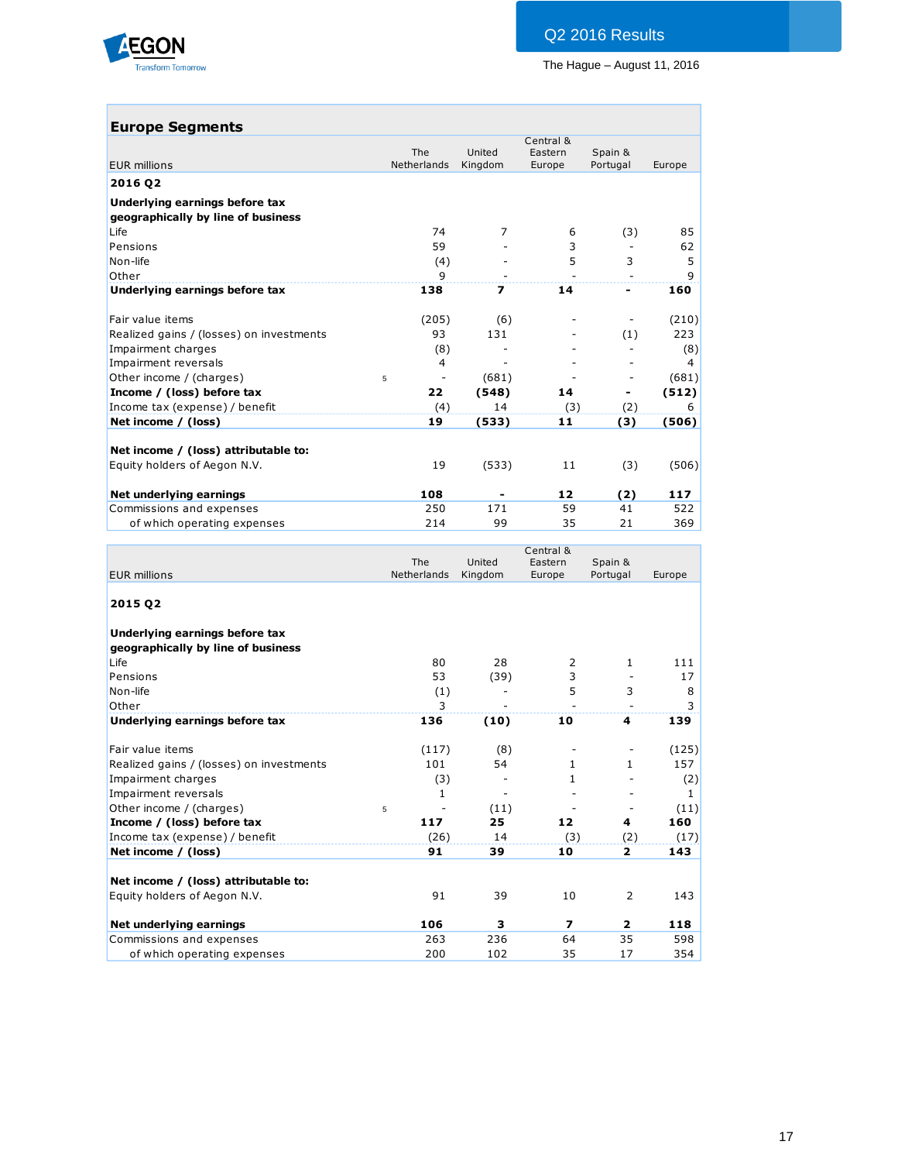

| <b>Europe Segments</b> |  |
|------------------------|--|
|------------------------|--|

|                                          |                           |                   | Central &         |                     |                |
|------------------------------------------|---------------------------|-------------------|-------------------|---------------------|----------------|
| <b>EUR millions</b>                      | <b>The</b><br>Netherlands | United<br>Kingdom | Eastern<br>Europe | Spain &<br>Portugal | Europe         |
| 2016 02                                  |                           |                   |                   |                     |                |
| Underlying earnings before tax           |                           |                   |                   |                     |                |
| geographically by line of business       |                           |                   |                   |                     |                |
| Life                                     | 74                        | $\overline{7}$    | 6                 | (3)                 | 85             |
| Pensions                                 | 59                        |                   | 3                 |                     | 62             |
| Non-life                                 | (4)                       |                   | 5                 | 3                   | 5              |
| Other                                    | 9                         |                   |                   |                     | 9              |
| Underlying earnings before tax           | 138                       | 7                 | 14                | -                   | 160            |
| Fair value items                         | (205)                     | (6)               |                   |                     | (210)          |
| Realized gains / (losses) on investments | 93                        | 131               |                   | (1)                 | 223            |
| Impairment charges                       | (8)                       |                   |                   |                     | (8)            |
| Impairment reversals                     | $\overline{4}$            |                   |                   |                     | $\overline{4}$ |
| Other income / (charges)                 | 5<br>$\overline{a}$       | (681)             |                   | -                   | (681)          |
| Income / (loss) before tax               | 22                        | (548)             | 14                |                     | (512)          |
| Income tax (expense) / benefit           | (4)                       | 14                | (3)               | (2)                 | 6              |
| Net income / (loss)                      | 19                        | (533)             | 11                | (3)                 | (506)          |
| Net income / (loss) attributable to:     |                           |                   |                   |                     |                |
| Equity holders of Aegon N.V.             | 19                        | (533)             | 11                | (3)                 | (506)          |
| Net underlying earnings                  | 108                       |                   | 12                | (2)                 | 117            |
| Commissions and expenses                 | 250                       | 171               | 59                | 41                  | 522            |
| of which operating expenses              | 214                       | 99                | 35                | 21                  | 369            |

|                                                                      |   | The                | United                   | Central &<br>Eastern     | Spain &                  |              |
|----------------------------------------------------------------------|---|--------------------|--------------------------|--------------------------|--------------------------|--------------|
| <b>EUR millions</b>                                                  |   | <b>Netherlands</b> | Kingdom                  | Europe                   | Portugal                 | Europe       |
| 2015 02                                                              |   |                    |                          |                          |                          |              |
| Underlying earnings before tax<br>geographically by line of business |   |                    |                          |                          |                          |              |
| Life                                                                 |   | 80                 | 28                       | 2                        | 1                        | 111          |
| Pensions                                                             |   | 53                 | (39)                     | 3                        |                          | 17           |
| Non-life                                                             |   | (1)                |                          | 5                        | 3                        | 8            |
| Other                                                                |   | 3                  |                          |                          | $\overline{a}$           | 3            |
| Underlying earnings before tax                                       |   | 136                | (10)                     | 10                       | 4                        | 139          |
| Fair value items                                                     |   | (117)              | (8)                      |                          |                          | (125)        |
| Realized gains / (losses) on investments                             |   | 101                | 54                       | $\mathbf{1}$             | $\mathbf{1}$             | 157          |
| Impairment charges                                                   |   | (3)                |                          | 1                        |                          | (2)          |
| Impairment reversals                                                 |   | 1                  | $\overline{\phantom{m}}$ |                          |                          | $\mathbf{1}$ |
| Other income / (charges)                                             | 5 |                    | (11)                     |                          | $\overline{\phantom{m}}$ | (11)         |
| Income / (loss) before tax                                           |   | 117                | 25                       | 12                       | 4                        | 160          |
| Income tax (expense) / benefit                                       |   | (26)               | 14                       | (3)                      | (2)                      | (17)         |
| Net income / (loss)                                                  |   | 91                 | 39                       | 10                       | $\overline{2}$           | 143          |
| Net income / (loss) attributable to:                                 |   |                    |                          |                          |                          |              |
| Equity holders of Aegon N.V.                                         |   | 91                 | 39                       | 10                       | $\overline{2}$           | 143          |
| Net underlying earnings                                              |   | 106                | 3                        | $\overline{\phantom{a}}$ | $\overline{2}$           | 118          |
| Commissions and expenses                                             |   | 263                | 236                      | 64                       | 35                       | 598          |
| of which operating expenses                                          |   | 200                | 102                      | 35                       | 17                       | 354          |
|                                                                      |   |                    |                          |                          |                          |              |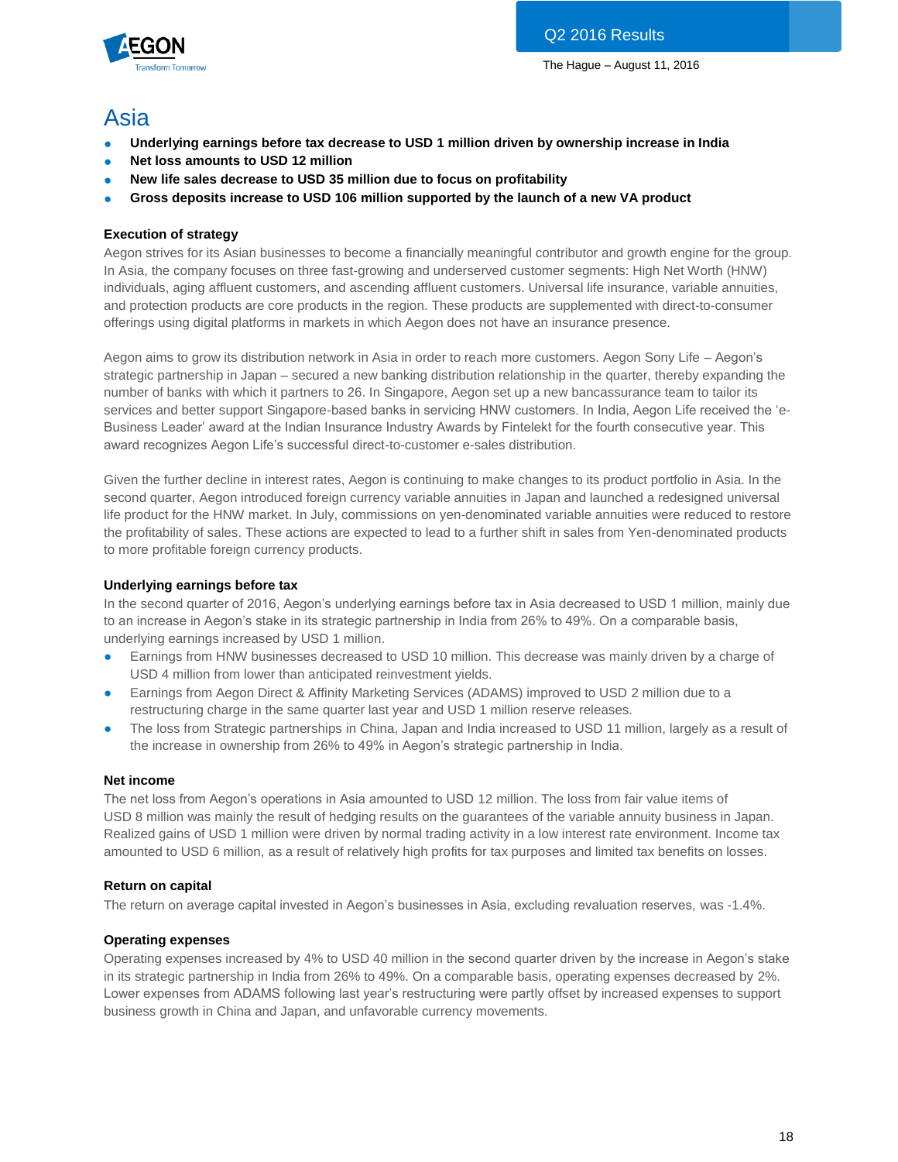

# Asia

- **Underlying earnings before tax decrease to USD 1 million driven by ownership increase in India**
- **Net loss amounts to USD 12 million**
- **New life sales decrease to USD 35 million due to focus on profitability**
- **Gross deposits increase to USD 106 million supported by the launch of a new VA product**

# **Execution of strategy**

Aegon strives for its Asian businesses to become a financially meaningful contributor and growth engine for the group. In Asia, the company focuses on three fast-growing and underserved customer segments: High Net Worth (HNW) individuals, aging affluent customers, and ascending affluent customers. Universal life insurance, variable annuities, and protection products are core products in the region. These products are supplemented with direct-to-consumer offerings using digital platforms in markets in which Aegon does not have an insurance presence.

Aegon aims to grow its distribution network in Asia in order to reach more customers. Aegon Sony Life – Aegon's strategic partnership in Japan – secured a new banking distribution relationship in the quarter, thereby expanding the number of banks with which it partners to 26. In Singapore, Aegon set up a new bancassurance team to tailor its services and better support Singapore-based banks in servicing HNW customers. In India, Aegon Life received the 'e-Business Leader' award at the Indian Insurance Industry Awards by Fintelekt for the fourth consecutive year. This award recognizes Aegon Life's successful direct-to-customer e-sales distribution.

Given the further decline in interest rates, Aegon is continuing to make changes to its product portfolio in Asia. In the second quarter, Aegon introduced foreign currency variable annuities in Japan and launched a redesigned universal life product for the HNW market. In July, commissions on yen-denominated variable annuities were reduced to restore the profitability of sales. These actions are expected to lead to a further shift in sales from Yen-denominated products to more profitable foreign currency products.

# **Underlying earnings before tax**

In the second quarter of 2016, Aegon's underlying earnings before tax in Asia decreased to USD 1 million, mainly due to an increase in Aegon's stake in its strategic partnership in India from 26% to 49%. On a comparable basis, underlying earnings increased by USD 1 million.

- Earnings from HNW businesses decreased to USD 10 million. This decrease was mainly driven by a charge of USD 4 million from lower than anticipated reinvestment yields.
- Earnings from Aegon Direct & Affinity Marketing Services (ADAMS) improved to USD 2 million due to a restructuring charge in the same quarter last year and USD 1 million reserve releases.
- The loss from Strategic partnerships in China, Japan and India increased to USD 11 million, largely as a result of the increase in ownership from 26% to 49% in Aegon's strategic partnership in India.

# **Net income**

The net loss from Aegon's operations in Asia amounted to USD 12 million. The loss from fair value items of USD 8 million was mainly the result of hedging results on the guarantees of the variable annuity business in Japan. Realized gains of USD 1 million were driven by normal trading activity in a low interest rate environment. Income tax amounted to USD 6 million, as a result of relatively high profits for tax purposes and limited tax benefits on losses.

# **Return on capital**

The return on average capital invested in Aegon's businesses in Asia, excluding revaluation reserves, was -1.4%.

# **Operating expenses**

Operating expenses increased by 4% to USD 40 million in the second quarter driven by the increase in Aegon's stake in its strategic partnership in India from 26% to 49%. On a comparable basis, operating expenses decreased by 2%. Lower expenses from ADAMS following last year's restructuring were partly offset by increased expenses to support business growth in China and Japan, and unfavorable currency movements.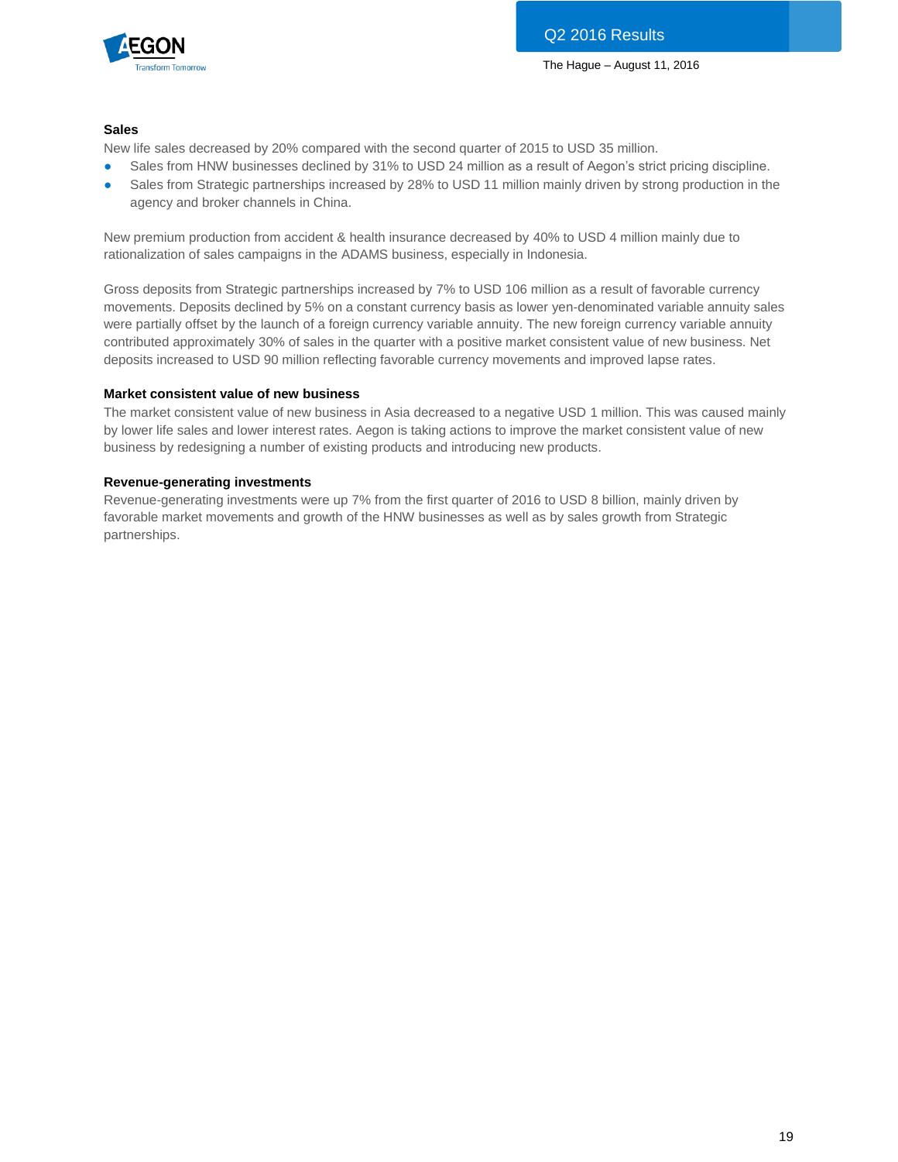

# **Sales**

New life sales decreased by 20% compared with the second quarter of 2015 to USD 35 million.

- Sales from HNW businesses declined by 31% to USD 24 million as a result of Aegon's strict pricing discipline.
- Sales from Strategic partnerships increased by 28% to USD 11 million mainly driven by strong production in the agency and broker channels in China.

New premium production from accident & health insurance decreased by 40% to USD 4 million mainly due to rationalization of sales campaigns in the ADAMS business, especially in Indonesia.

Gross deposits from Strategic partnerships increased by 7% to USD 106 million as a result of favorable currency movements. Deposits declined by 5% on a constant currency basis as lower yen-denominated variable annuity sales were partially offset by the launch of a foreign currency variable annuity. The new foreign currency variable annuity contributed approximately 30% of sales in the quarter with a positive market consistent value of new business. Net deposits increased to USD 90 million reflecting favorable currency movements and improved lapse rates.

### **Market consistent value of new business**

The market consistent value of new business in Asia decreased to a negative USD 1 million. This was caused mainly by lower life sales and lower interest rates. Aegon is taking actions to improve the market consistent value of new business by redesigning a number of existing products and introducing new products.

### **Revenue-generating investments**

Revenue-generating investments were up 7% from the first quarter of 2016 to USD 8 billion, mainly driven by favorable market movements and growth of the HNW businesses as well as by sales growth from Strategic partnerships.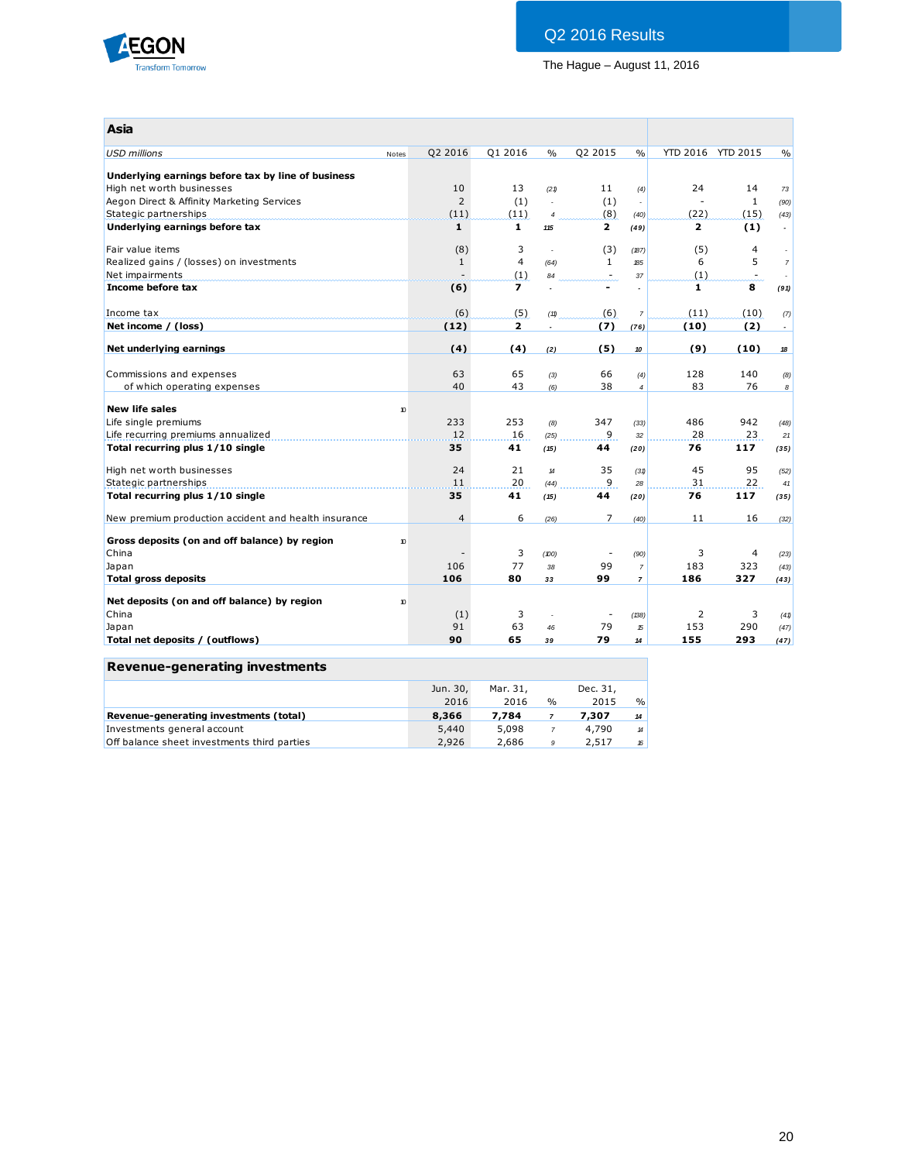

| Asia                                                 |                  |                |                          |                            |                          |                |                |                   |                          |
|------------------------------------------------------|------------------|----------------|--------------------------|----------------------------|--------------------------|----------------|----------------|-------------------|--------------------------|
| <b>USD</b> millions                                  | Notes            | Q2 2016        | Q1 2016                  | $\%$                       | Q2 2015                  | $\frac{0}{0}$  |                | YTD 2016 YTD 2015 | $\frac{0}{0}$            |
| Underlying earnings before tax by line of business   |                  |                |                          |                            |                          |                |                |                   |                          |
| High net worth businesses                            |                  | 10             | 13                       | (21)                       | 11                       | (4)            | 24             | 14                | 73                       |
| Aegon Direct & Affinity Marketing Services           |                  | $\overline{2}$ | (1)                      | $\mathbf{r}$               | (1)                      | ÷,             |                | $\mathbf{1}$      | (90)                     |
| Stategic partnerships                                |                  | (11)           | (11)                     | $\overline{4}$             | (8)                      | (40)           | (22)           | (15)              | (43)                     |
| Underlying earnings before tax                       |                  | $\mathbf{1}$   | $\mathbf{1}$             | 115                        | $\mathbf{z}$             | (49)           | $\mathbf{2}$   | (1)               | $\overline{\phantom{a}}$ |
| Fair value items                                     |                  | (8)            | 3                        | $\sim$                     | (3)                      | (187)          | (5)            | 4                 |                          |
| Realized gains / (losses) on investments             |                  | $\mathbf{1}$   | $\overline{4}$           | (64)                       | $\mathbf{1}$             | <b>185</b>     | 6              | 5                 | $\overline{7}$           |
| Net impairments                                      |                  |                | (1)                      | 84                         | $\sim$                   | 37             | (1)            | $\sim$            |                          |
| Income before tax                                    |                  | (6)            | $\overline{\phantom{a}}$ |                            |                          | $\overline{a}$ | $\mathbf{1}$   | 8                 | (91)                     |
| Income tax                                           |                  | (6)            | (5)                      | (11)                       | (6)                      | $\overline{7}$ | (11)           | (10)              | (7)                      |
| Net income / (loss)                                  |                  | (12)           | $\mathbf{z}$             |                            | (7)                      | (76)           | (10)           | (2)               | $\blacksquare$           |
| Net underlying earnings                              |                  | (4)            | (4)                      | (2)                        | (5)                      | 10             | (9)            | (10)              | 18                       |
|                                                      |                  |                |                          |                            |                          |                |                |                   |                          |
| Commissions and expenses                             |                  | 63             | 65                       | (3)                        | 66                       | (4)            | 128            | 140               | (8)                      |
| of which operating expenses                          |                  | 40             | 43                       | (6)                        | 38                       | $\overline{4}$ | 83             | 76                | 8                        |
|                                                      |                  |                |                          |                            |                          |                |                |                   |                          |
| <b>New life sales</b>                                | 10 <sup>10</sup> |                |                          |                            |                          |                |                |                   |                          |
| Life single premiums                                 |                  | 233            | 253                      | (8)                        | 347                      | (33)           | 486            | 942               | (48)                     |
| Life recurring premiums annualized                   |                  | 12             | 16                       | (25)                       | 9                        | 32             | 28             | 23                | 21                       |
| Total recurring plus 1/10 single                     |                  | 35             | 41                       | (15)                       | 44                       | (20)           | 76             | 117               | (35)                     |
| High net worth businesses                            |                  | 24             | 21                       | $\boldsymbol{\mathcal{H}}$ | 35                       | (31)           | 45             | 95                | (52)                     |
| Stategic partnerships                                |                  | 11             | 20                       | (44)                       | 9                        | 28             | 31             | 22                | 41                       |
| Total recurring plus 1/10 single                     |                  | 35             | 41                       | (15)                       | 44                       | (20)           | 76             | 117               | (35)                     |
| New premium production accident and health insurance |                  | $\overline{4}$ | 6                        | (26)                       | 7                        | (40)           | 11             | 16                | (32)                     |
| Gross deposits (on and off balance) by region        | 10               |                |                          |                            |                          |                |                |                   |                          |
| China                                                |                  |                | 3                        | (100)                      | $\overline{\phantom{a}}$ | (90)           | 3              | 4                 | (23)                     |
| Japan                                                |                  | 106            | 77                       | 38                         | 99                       | $\overline{7}$ | 183            | 323               | (43)                     |
| <b>Total gross deposits</b>                          |                  | 106            | 80                       | 33                         | 99                       | $\overline{7}$ | 186            | 327               | (43)                     |
|                                                      |                  |                |                          |                            |                          |                |                |                   |                          |
| Net deposits (on and off balance) by region          | 10 <sup>10</sup> |                |                          |                            |                          |                |                |                   |                          |
| China                                                |                  | (1)            | 3                        |                            |                          | (138)          | $\overline{2}$ | 3                 | (41)                     |
| Japan                                                |                  | 91             | 63                       | 46                         | 79                       | 15             | 153            | 290               | (47)                     |
| Total net deposits / (outflows)                      |                  | 90             | 65                       | 39                         | 79                       | 14             | 155            | 293               | (47)                     |

# **Revenue-generating investments**

|                                             | Jun. 30,<br>2016 | Mar. 31.<br>2016 | $\frac{0}{0}$ | Dec. 31,<br>2015 | $\frac{0}{0}$              |
|---------------------------------------------|------------------|------------------|---------------|------------------|----------------------------|
| Revenue-generating investments (total)      | 8,366            | 7.784            |               | 7,307            | 14                         |
| Investments general account                 | 5,440            | 5,098            |               | 4,790            | $\boldsymbol{\mathcal{H}}$ |
| Off balance sheet investments third parties | 2.926            | 2.686            | -9            | 2.517            | 16                         |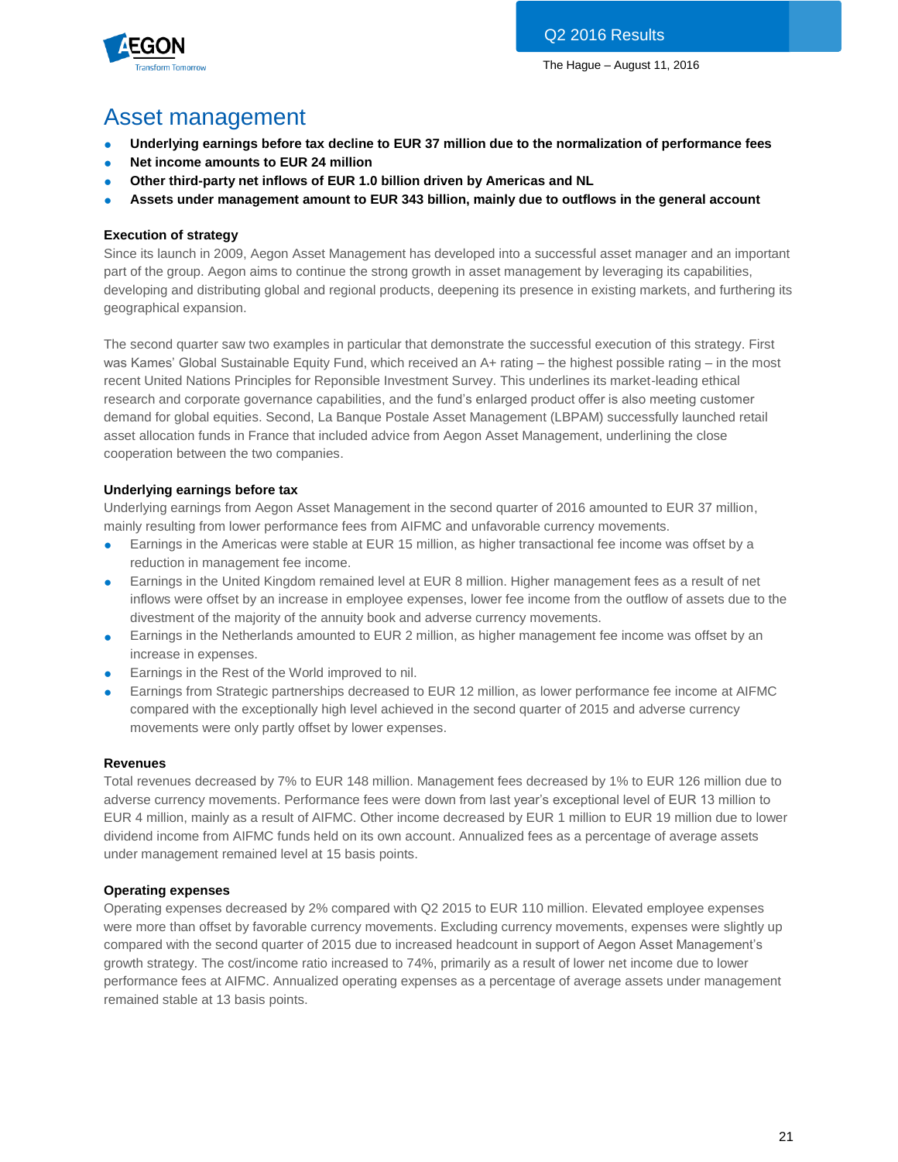

# Asset management

- **Underlying earnings before tax decline to EUR 37 million due to the normalization of performance fees**
- **Net income amounts to EUR 24 million**
- **Other third-party net inflows of EUR 1.0 billion driven by Americas and NL**
- **Assets under management amount to EUR 343 billion, mainly due to outflows in the general account**

# **Execution of strategy**

Since its launch in 2009, Aegon Asset Management has developed into a successful asset manager and an important part of the group. Aegon aims to continue the strong growth in asset management by leveraging its capabilities, developing and distributing global and regional products, deepening its presence in existing markets, and furthering its geographical expansion.

The second quarter saw two examples in particular that demonstrate the successful execution of this strategy. First was Kames' Global Sustainable Equity Fund, which received an A+ rating – the highest possible rating – in the most recent United Nations Principles for Reponsible Investment Survey. This underlines its market-leading ethical research and corporate governance capabilities, and the fund's enlarged product offer is also meeting customer demand for global equities. Second, La Banque Postale Asset Management (LBPAM) successfully launched retail asset allocation funds in France that included advice from Aegon Asset Management, underlining the close cooperation between the two companies.

# **Underlying earnings before tax**

Underlying earnings from Aegon Asset Management in the second quarter of 2016 amounted to EUR 37 million, mainly resulting from lower performance fees from AIFMC and unfavorable currency movements.

- Earnings in the Americas were stable at EUR 15 million, as higher transactional fee income was offset by a reduction in management fee income.
- Earnings in the United Kingdom remained level at EUR 8 million. Higher management fees as a result of net inflows were offset by an increase in employee expenses, lower fee income from the outflow of assets due to the divestment of the majority of the annuity book and adverse currency movements.
- Earnings in the Netherlands amounted to EUR 2 million, as higher management fee income was offset by an increase in expenses.
- Earnings in the Rest of the World improved to nil.
- Earnings from Strategic partnerships decreased to EUR 12 million, as lower performance fee income at AIFMC compared with the exceptionally high level achieved in the second quarter of 2015 and adverse currency movements were only partly offset by lower expenses.

# **Revenues**

Total revenues decreased by 7% to EUR 148 million. Management fees decreased by 1% to EUR 126 million due to adverse currency movements. Performance fees were down from last year's exceptional level of EUR 13 million to EUR 4 million, mainly as a result of AIFMC. Other income decreased by EUR 1 million to EUR 19 million due to lower dividend income from AIFMC funds held on its own account. Annualized fees as a percentage of average assets under management remained level at 15 basis points.

# **Operating expenses**

Operating expenses decreased by 2% compared with Q2 2015 to EUR 110 million. Elevated employee expenses were more than offset by favorable currency movements. Excluding currency movements, expenses were slightly up compared with the second quarter of 2015 due to increased headcount in support of Aegon Asset Management's growth strategy. The cost/income ratio increased to 74%, primarily as a result of lower net income due to lower performance fees at AIFMC. Annualized operating expenses as a percentage of average assets under management remained stable at 13 basis points.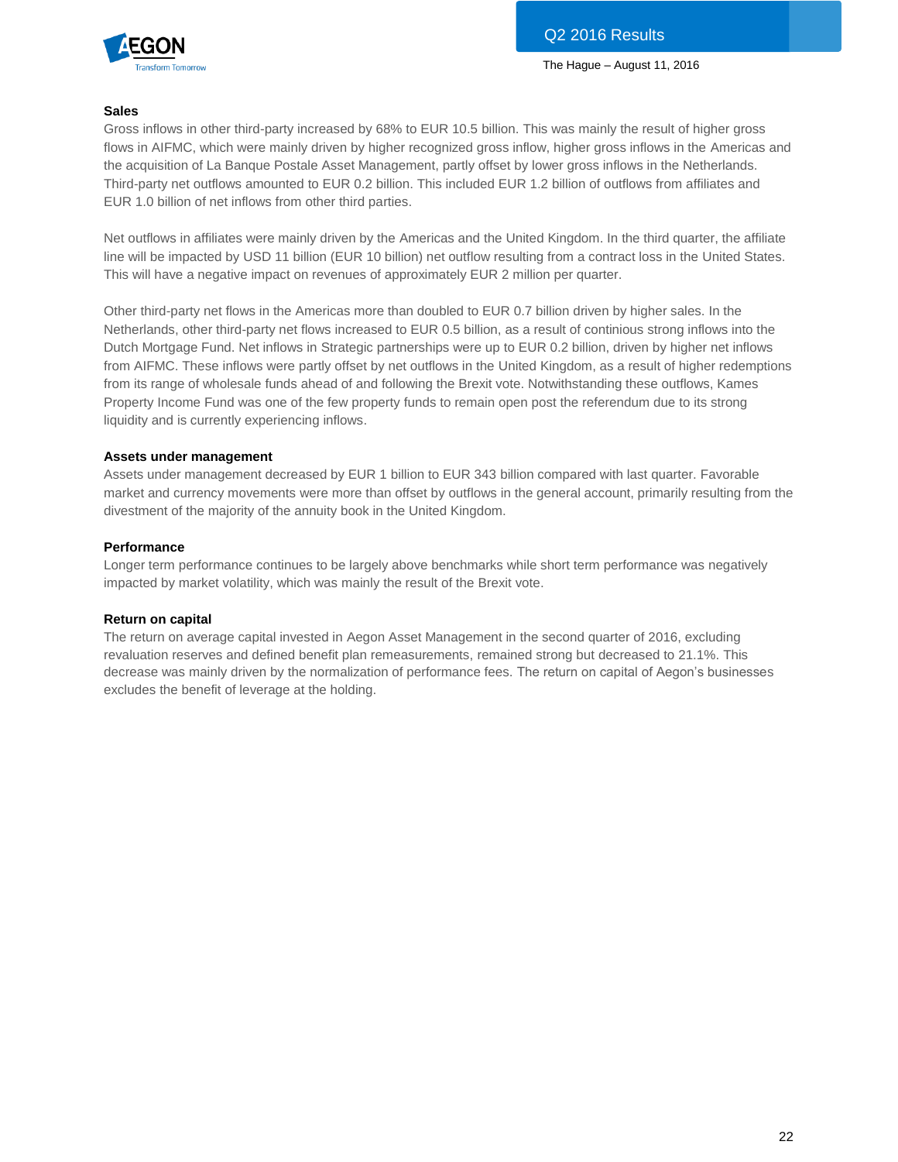

# **Sales**

Gross inflows in other third-party increased by 68% to EUR 10.5 billion. This was mainly the result of higher gross flows in AIFMC, which were mainly driven by higher recognized gross inflow, higher gross inflows in the Americas and the acquisition of La Banque Postale Asset Management, partly offset by lower gross inflows in the Netherlands. Third-party net outflows amounted to EUR 0.2 billion. This included EUR 1.2 billion of outflows from affiliates and EUR 1.0 billion of net inflows from other third parties.

Net outflows in affiliates were mainly driven by the Americas and the United Kingdom. In the third quarter, the affiliate line will be impacted by USD 11 billion (EUR 10 billion) net outflow resulting from a contract loss in the United States. This will have a negative impact on revenues of approximately EUR 2 million per quarter.

Other third-party net flows in the Americas more than doubled to EUR 0.7 billion driven by higher sales. In the Netherlands, other third-party net flows increased to EUR 0.5 billion, as a result of continious strong inflows into the Dutch Mortgage Fund. Net inflows in Strategic partnerships were up to EUR 0.2 billion, driven by higher net inflows from AIFMC. These inflows were partly offset by net outflows in the United Kingdom, as a result of higher redemptions from its range of wholesale funds ahead of and following the Brexit vote. Notwithstanding these outflows, Kames Property Income Fund was one of the few property funds to remain open post the referendum due to its strong liquidity and is currently experiencing inflows.

# **Assets under management**

Assets under management decreased by EUR 1 billion to EUR 343 billion compared with last quarter. Favorable market and currency movements were more than offset by outflows in the general account, primarily resulting from the divestment of the majority of the annuity book in the United Kingdom.

# **Performance**

Longer term performance continues to be largely above benchmarks while short term performance was negatively impacted by market volatility, which was mainly the result of the Brexit vote.

# **Return on capital**

The return on average capital invested in Aegon Asset Management in the second quarter of 2016, excluding revaluation reserves and defined benefit plan remeasurements, remained strong but decreased to 21.1%. This decrease was mainly driven by the normalization of performance fees. The return on capital of Aegon's businesses excludes the benefit of leverage at the holding.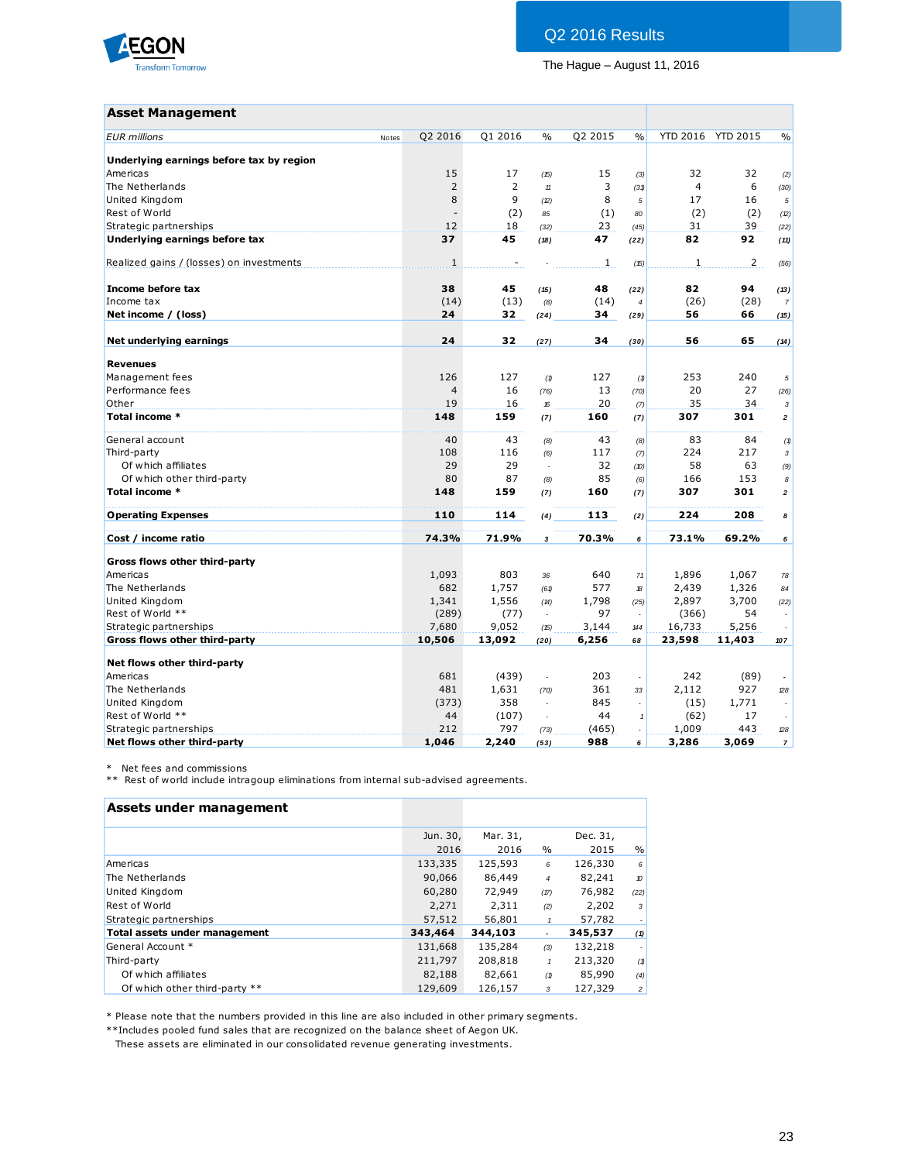

# Q2 2016 Results

The Hague – August 11, 2016

# **Asset Management**

| <b>Asset Management</b>                  |       |                          |                |               |         |                |                |                   |                          |
|------------------------------------------|-------|--------------------------|----------------|---------------|---------|----------------|----------------|-------------------|--------------------------|
| <b>EUR</b> millions                      | Notes | Q2 2016                  | Q1 2016        | $\frac{0}{0}$ | Q2 2015 | $\frac{0}{0}$  |                | YTD 2016 YTD 2015 | $\%$                     |
| Underlying earnings before tax by region |       |                          |                |               |         |                |                |                   |                          |
| Americas                                 |       | 15                       | 17             | (15)          | 15      | (3)            | 32             | 32                | (2)                      |
| The Netherlands                          |       | $\overline{2}$           | $\overline{2}$ | $11$          | 3       | (31)           | $\overline{4}$ | 6                 | (30)                     |
| United Kingdom                           |       | 8                        | 9              | (2)           | 8       | 5              | 17             | 16                | $\sqrt{5}$               |
| Rest of World                            |       | $\overline{\phantom{a}}$ | (2)            | 85            | (1)     | 80             | (2)            | (2)               | (2)                      |
| Strategic partnerships                   |       | 12                       | 18             | (32)          | 23      | (45)           | 31             | 39                | (22)                     |
| Underlying earnings before tax           |       | 37                       | 45             | (18)          | 47      | (22)           | 82             | 92                | (11)                     |
| Realized gains / (losses) on investments |       | $\mathbf{1}$             |                |               | 1       | (15)           | $\mathbf{1}$   | $\overline{2}$    | (56)                     |
| Income before tax                        |       | 38                       | 45             | (15)          | 48      | (22)           | 82             | 94                | (13)                     |
| Income tax                               |       | (14)                     | (13)           | (8)           | (14)    | $\overline{4}$ | (26)           | (28)              | $\overline{7}$           |
| Net income / (loss)                      |       | 24                       | 32             | (24)          | 34      | (29)           | 56             | 66                | (15)                     |
| Net underlying earnings                  |       | 24                       | 32             | (27)          | 34      | (30)           | 56             | 65                | (14)                     |
| <b>Revenues</b>                          |       |                          |                |               |         |                |                |                   |                          |
| Management fees                          |       | 126                      | 127            | (1)           | 127     | (1)            | 253            | 240               | 5                        |
| Performance fees                         |       | $\overline{4}$           | 16             | (76)          | 13      | (70)           | 20             | 27                | (26)                     |
| Other                                    |       | 19                       | 16             | 16            | 20      | (7)            | 35             | 34                | 3                        |
| Total income *                           |       | 148                      | 159            | (7)           | 160     | (7)            | 307            | 301               | $\overline{2}$           |
| General account                          |       | 40                       | 43             | (8)           | 43      | (8)            | 83             | 84                | (1)                      |
| Third-party                              |       | 108                      | 116            | (6)           | 117     | (7)            | 224            | 217               | $\sqrt{3}$               |
| Of which affiliates                      |       | 29                       | 29             | ÷,            | 32      | (10)           | 58             | 63                | (9)                      |
| Of which other third-party               |       | 80                       | 87             | (8)           | 85      | (6)            | 166            | 153               | 8                        |
| Total income *                           |       | 148                      | 159            | (7)           | 160     | (7)            | 307            | 301               | 2                        |
| <b>Operating Expenses</b>                |       | 110                      | 114            | (4)           | 113     | (2)            | 224            | 208               | 8                        |
| Cost / income ratio                      |       | 74.3%                    | 71.9%          | 3             | 70.3%   | 6              | 73.1%          | 69.2%             | 6                        |
| Gross flows other third-party            |       |                          |                |               |         |                |                |                   |                          |
| Americas                                 |       | 1,093                    | 803            | 36            | 640     | 71             | 1,896          | 1,067             | 78                       |
| The Netherlands                          |       | 682                      | 1,757          | (61)          | 577     | 18             | 2,439          | 1,326             | 84                       |
| United Kingdom                           |       | 1,341                    | 1,556          | (14)          | 1,798   | (25)           | 2,897          | 3,700             | (22)                     |
| Rest of World **                         |       | (289)                    | (77)           |               | 97      |                | (366)          | 54                |                          |
| Strategic partnerships                   |       | 7,680                    | 9,052          | (15)          | 3,144   | 144            | 16,733         | 5,256             |                          |
| Gross flows other third-party            |       | 10,506                   | 13,092         | (20)          | 6,256   | 68             | 23,598         | 11,403            | 107                      |
| Net flows other third-party              |       |                          |                |               |         |                |                |                   |                          |
| Americas                                 |       | 681                      | (439)          | $\Box$        | 203     | ÷,             | 242            | (89)              | $\overline{\phantom{a}}$ |
| The Netherlands                          |       | 481                      | 1,631          | (70)          | 361     | 33             | 2,112          | 927               | 28                       |
| United Kingdom                           |       | (373)                    | 358            | $\sim$        | 845     | ÷.             | (15)           | 1,771             |                          |
| Rest of World **                         |       | 44                       | (107)          | ÷.            | 44      | $\mathbf{1}$   | (62)           | 17                |                          |
| Strategic partnerships                   |       | 212                      | 797            | (73)          | (465)   | $\sim$         | 1,009          | 443               | 28                       |
| Net flows other third-party              |       | 1,046                    | 2,240          | (53)          | 988     | 6              | 3,286          | 3,069             | $\overline{7}$           |

\* Net fees and commissions

\*\* Rest of world include intragoup eliminations from internal sub-advised agreements.

| Assets under management       |                  |                  |                          |                  |                |
|-------------------------------|------------------|------------------|--------------------------|------------------|----------------|
|                               | Jun. 30,<br>2016 | Mar. 31,<br>2016 | $\%$                     | Dec. 31,<br>2015 | $\%$           |
| Americas                      | 133,335          | 125,593          | 6                        | 126,330          | 6              |
| The Netherlands               | 90,066           | 86,449           | $\overline{4}$           | 82,241           | 10             |
| United Kingdom                | 60,280           | 72,949           | (17)                     | 76,982           | (22)           |
| Rest of World                 | 2,271            | 2,311            | (2)                      | 2,202            | 3              |
| Strategic partnerships        | 57,512           | 56,801           | $\mathbf{1}$             | 57,782           |                |
| Total assets under management | 343,464          | 344,103          | $\overline{\phantom{a}}$ | 345,537          | (1)            |
| General Account *             | 131,668          | 135,284          | (3)                      | 132,218          |                |
| Third-party                   | 211,797          | 208,818          |                          | 213,320          | (1)            |
| Of which affiliates           | 82,188           | 82,661           | (1)                      | 85,990           | (4)            |
| Of which other third-party ** | 129,609          | 126,157          | 3                        | 127,329          | $\overline{c}$ |

\* Please note that the numbers provided in this line are also included in other primary segments.

\*\*Includes pooled fund sales that are recognized on the balance sheet of Aegon UK.

These assets are eliminated in our consolidated revenue generating investments.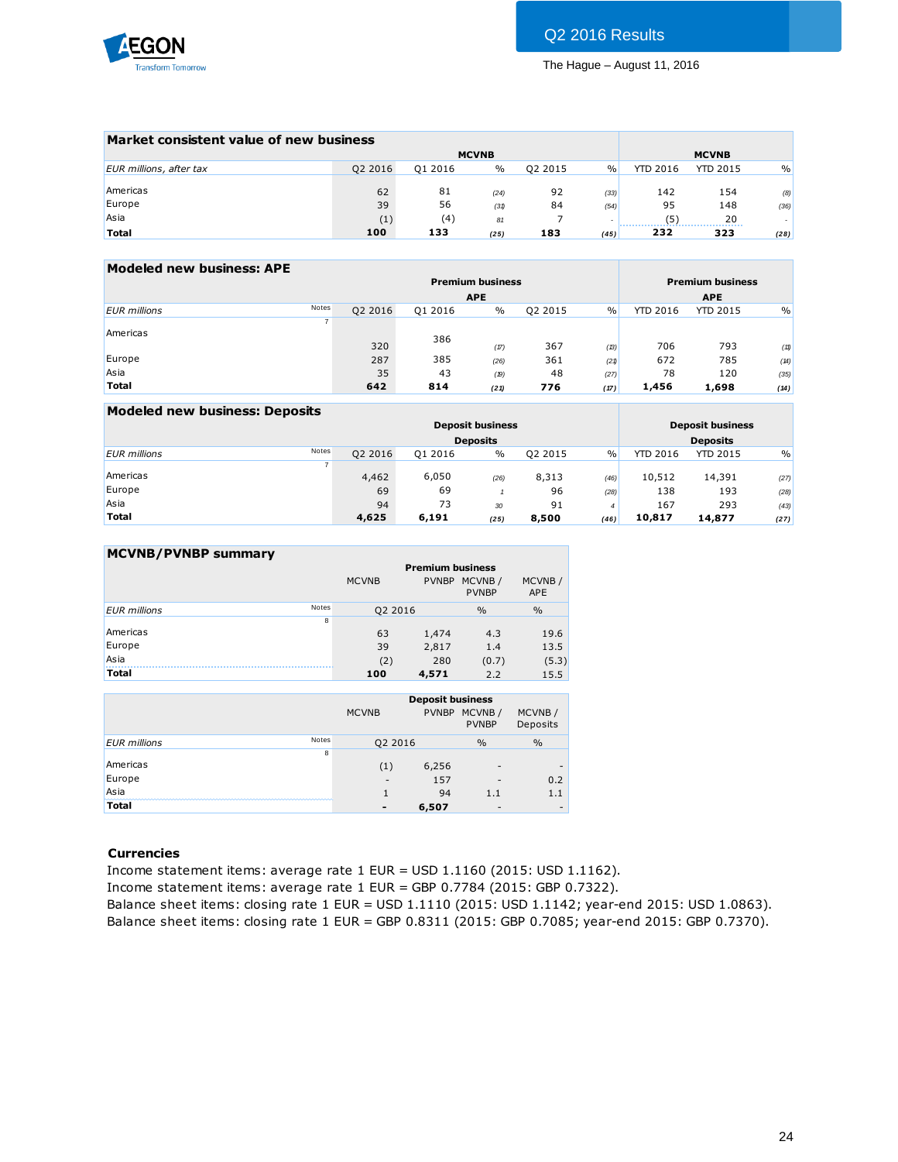

| Market consistent value of new business |         |         |               |         |                          |                 |                 |               |
|-----------------------------------------|---------|---------|---------------|---------|--------------------------|-----------------|-----------------|---------------|
|                                         |         |         | <b>MCVNB</b>  |         |                          |                 | <b>MCVNB</b>    |               |
| EUR millions, after tax                 | Q2 2016 | Q1 2016 | $\frac{0}{0}$ | 02 2015 | $\%$                     | <b>YTD 2016</b> | <b>YTD 2015</b> | $\frac{0}{0}$ |
|                                         |         |         |               |         |                          |                 |                 |               |
| Americas                                | 62      | 81      | (24)          | 92      | (33)                     | 142             | 154             | (8)           |
| Europe                                  | 39      | 56      | (31)          | 84      | (54)                     | 95              | 148             | (36)          |
| Asia                                    | (1)     | (4)     | 81            |         | $\overline{\phantom{a}}$ | (5)             | 20              |               |
| <b>Total</b>                            | 100     | 133     | (25)          | 183     | (45)                     | 232             | 323             | (28)          |

| Modeled new business: APE |                       |          |                         |         |               |                 |                         |      |
|---------------------------|-----------------------|----------|-------------------------|---------|---------------|-----------------|-------------------------|------|
|                           |                       |          | <b>Premium business</b> |         |               |                 | <b>Premium business</b> |      |
|                           |                       |          | <b>APE</b>              |         |               |                 | <b>APE</b>              |      |
| <b>EUR</b> millions       | Notes<br>Q2 2016      | Q1 2016  | $\frac{0}{0}$           | Q2 2015 | $\frac{0}{0}$ | <b>YTD 2016</b> | <b>YTD 2015</b>         | $\%$ |
| Americas                  | $\overline{ }$<br>320 | 386      | (17)                    | 367     | (B)           | 706             | 793                     | (11) |
| Europe                    | 287                   | 385      | (26)                    | 361     | (21)          | 672             | 785                     | (14) |
| Asia                      |                       | 43<br>35 | (19)                    | 48      | (27)          | 78              | 120                     | (35) |
| <b>Total</b>              | 642                   | 814      | (21)                    | 776     | (17)          | 1,456           | 1,698                   | (14) |

| <b>Modeled new business: Deposits</b> |                |         |         |                         |         |               |                 |                         |      |
|---------------------------------------|----------------|---------|---------|-------------------------|---------|---------------|-----------------|-------------------------|------|
|                                       |                |         |         | <b>Deposit business</b> |         |               |                 | <b>Deposit business</b> |      |
|                                       |                |         |         | <b>Deposits</b>         |         |               |                 | <b>Deposits</b>         |      |
| <b>EUR</b> millions                   | <b>Notes</b>   | Q2 2016 | Q1 2016 | $\frac{0}{0}$           | Q2 2015 | $\frac{0}{0}$ | <b>YTD 2016</b> | <b>YTD 2015</b>         | $\%$ |
|                                       | $\overline{7}$ |         |         |                         |         |               |                 |                         |      |
| Americas                              |                | 4,462   | 6,050   | (26)                    | 8,313   | (46)          | 10,512          | 14,391                  | (27) |
| Europe                                |                | 69      | 69      |                         | 96      | (28)          | 138             | 193                     | (28) |
| Asia                                  |                | 94      | 73      | 30                      | 91      | 4             | 167             | 293                     | (43) |
| <b>Total</b>                          |                | 4,625   | 6,191   | (25)                    | 8,500   | (46)          | 10,817          | 14,877                  | (27) |

# **MCVNB/PVNBP summary**

|                              |              | <b>Premium business</b> |                        |                      |
|------------------------------|--------------|-------------------------|------------------------|----------------------|
|                              | <b>MCVNB</b> | <b>PVNBP</b>            | MCVNB/<br><b>PVNBP</b> | MCVNB/<br><b>APE</b> |
| Notes<br><b>EUR</b> millions | Q2 2016      |                         | $\frac{0}{0}$          | $\frac{0}{0}$        |
| 8                            |              |                         |                        |                      |
| Americas                     | 63           | 1,474                   | 4.3                    | 19.6                 |
| Europe                       | 39           | 2,817                   | 1.4                    | 13.5                 |
| Asia                         | (2)          | 280                     | (0.7)                  | (5.3)                |
| <b>Total</b>                 | 100          | 4,571                   | 2.2                    | 15.5                 |

|                     |       | <b>MCVNB</b> | <b>Deposit business</b><br><b>PVNBP</b> | MCVNB/<br><b>PVNBP</b>   | MCVNB/<br>Deposits |
|---------------------|-------|--------------|-----------------------------------------|--------------------------|--------------------|
| <b>EUR</b> millions | Notes | Q2 2016      |                                         | $\frac{0}{0}$            | $\frac{0}{0}$      |
|                     | 8     |              |                                         |                          |                    |
| Americas            |       | (1)          | 6,256                                   | -                        |                    |
| Europe              |       | -            | 157                                     | -                        | 0.2                |
| Asia                |       |              | 94                                      | 1.1                      | 1.1                |
| <b>Total</b>        |       | -            | 6,507                                   | $\overline{\phantom{a}}$ | -                  |

# **Currencies**

Income statement items: average rate 1 EUR = USD 1.1160 (2015: USD 1.1162). Income statement items: average rate 1 EUR = GBP 0.7784 (2015: GBP 0.7322). Balance sheet items: closing rate 1 EUR = USD 1.1110 (2015: USD 1.1142; year-end 2015: USD 1.0863). Balance sheet items: closing rate 1 EUR = GBP 0.8311 (2015: GBP 0.7085; year-end 2015: GBP 0.7370).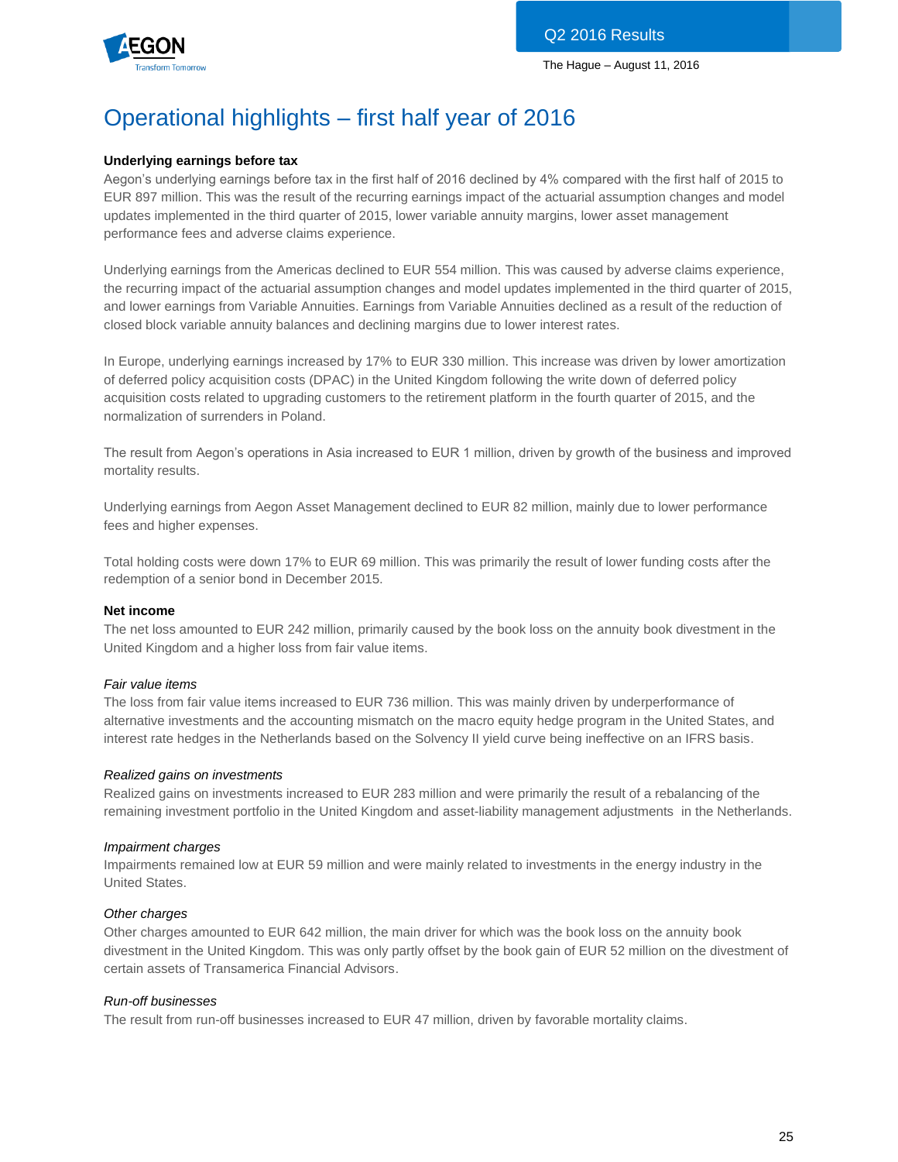

# Operational highlights – first half year of 2016

# **Underlying earnings before tax**

Aegon's underlying earnings before tax in the first half of 2016 declined by 4% compared with the first half of 2015 to EUR 897 million. This was the result of the recurring earnings impact of the actuarial assumption changes and model updates implemented in the third quarter of 2015, lower variable annuity margins, lower asset management performance fees and adverse claims experience.

Underlying earnings from the Americas declined to EUR 554 million. This was caused by adverse claims experience, the recurring impact of the actuarial assumption changes and model updates implemented in the third quarter of 2015, and lower earnings from Variable Annuities. Earnings from Variable Annuities declined as a result of the reduction of closed block variable annuity balances and declining margins due to lower interest rates.

In Europe, underlying earnings increased by 17% to EUR 330 million. This increase was driven by lower amortization of deferred policy acquisition costs (DPAC) in the United Kingdom following the write down of deferred policy acquisition costs related to upgrading customers to the retirement platform in the fourth quarter of 2015, and the normalization of surrenders in Poland.

The result from Aegon's operations in Asia increased to EUR 1 million, driven by growth of the business and improved mortality results.

Underlying earnings from Aegon Asset Management declined to EUR 82 million, mainly due to lower performance fees and higher expenses.

Total holding costs were down 17% to EUR 69 million. This was primarily the result of lower funding costs after the redemption of a senior bond in December 2015.

# **Net income**

The net loss amounted to EUR 242 million, primarily caused by the book loss on the annuity book divestment in the United Kingdom and a higher loss from fair value items.

# *Fair value items*

The loss from fair value items increased to EUR 736 million. This was mainly driven by underperformance of alternative investments and the accounting mismatch on the macro equity hedge program in the United States, and interest rate hedges in the Netherlands based on the Solvency II yield curve being ineffective on an IFRS basis.

# *Realized gains on investments*

Realized gains on investments increased to EUR 283 million and were primarily the result of a rebalancing of the remaining investment portfolio in the United Kingdom and asset-liability management adjustments in the Netherlands.

# *Impairment charges*

Impairments remained low at EUR 59 million and were mainly related to investments in the energy industry in the United States.

# *Other charges*

Other charges amounted to EUR 642 million, the main driver for which was the book loss on the annuity book divestment in the United Kingdom. This was only partly offset by the book gain of EUR 52 million on the divestment of certain assets of Transamerica Financial Advisors.

# *Run-off businesses*

The result from run-off businesses increased to EUR 47 million, driven by favorable mortality claims.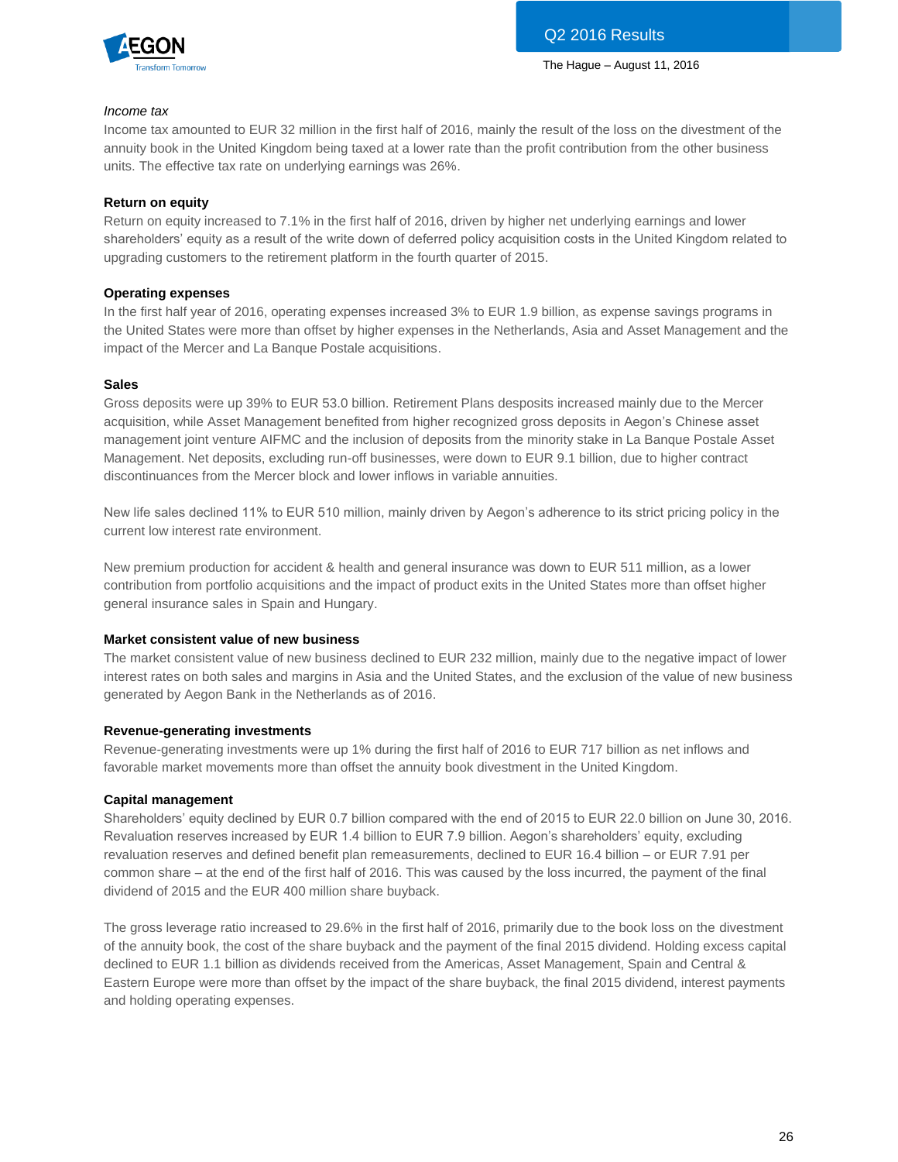

### *Income tax*

Income tax amounted to EUR 32 million in the first half of 2016, mainly the result of the loss on the divestment of the annuity book in the United Kingdom being taxed at a lower rate than the profit contribution from the other business units. The effective tax rate on underlying earnings was 26%.

### **Return on equity**

Return on equity increased to 7.1% in the first half of 2016, driven by higher net underlying earnings and lower shareholders' equity as a result of the write down of deferred policy acquisition costs in the United Kingdom related to upgrading customers to the retirement platform in the fourth quarter of 2015.

### **Operating expenses**

In the first half year of 2016, operating expenses increased 3% to EUR 1.9 billion, as expense savings programs in the United States were more than offset by higher expenses in the Netherlands, Asia and Asset Management and the impact of the Mercer and La Banque Postale acquisitions.

#### **Sales**

Gross deposits were up 39% to EUR 53.0 billion. Retirement Plans desposits increased mainly due to the Mercer acquisition, while Asset Management benefited from higher recognized gross deposits in Aegon's Chinese asset management joint venture AIFMC and the inclusion of deposits from the minority stake in La Banque Postale Asset Management. Net deposits, excluding run-off businesses, were down to EUR 9.1 billion, due to higher contract discontinuances from the Mercer block and lower inflows in variable annuities.

New life sales declined 11% to EUR 510 million, mainly driven by Aegon's adherence to its strict pricing policy in the current low interest rate environment.

New premium production for accident & health and general insurance was down to EUR 511 million, as a lower contribution from portfolio acquisitions and the impact of product exits in the United States more than offset higher general insurance sales in Spain and Hungary.

#### **Market consistent value of new business**

The market consistent value of new business declined to EUR 232 million, mainly due to the negative impact of lower interest rates on both sales and margins in Asia and the United States, and the exclusion of the value of new business generated by Aegon Bank in the Netherlands as of 2016.

# **Revenue-generating investments**

Revenue-generating investments were up 1% during the first half of 2016 to EUR 717 billion as net inflows and favorable market movements more than offset the annuity book divestment in the United Kingdom.

# **Capital management**

Shareholders' equity declined by EUR 0.7 billion compared with the end of 2015 to EUR 22.0 billion on June 30, 2016. Revaluation reserves increased by EUR 1.4 billion to EUR 7.9 billion. Aegon's shareholders' equity, excluding revaluation reserves and defined benefit plan remeasurements, declined to EUR 16.4 billion – or EUR 7.91 per common share – at the end of the first half of 2016. This was caused by the loss incurred, the payment of the final dividend of 2015 and the EUR 400 million share buyback.

The gross leverage ratio increased to 29.6% in the first half of 2016, primarily due to the book loss on the divestment of the annuity book, the cost of the share buyback and the payment of the final 2015 dividend. Holding excess capital declined to EUR 1.1 billion as dividends received from the Americas, Asset Management, Spain and Central & Eastern Europe were more than offset by the impact of the share buyback, the final 2015 dividend, interest payments and holding operating expenses.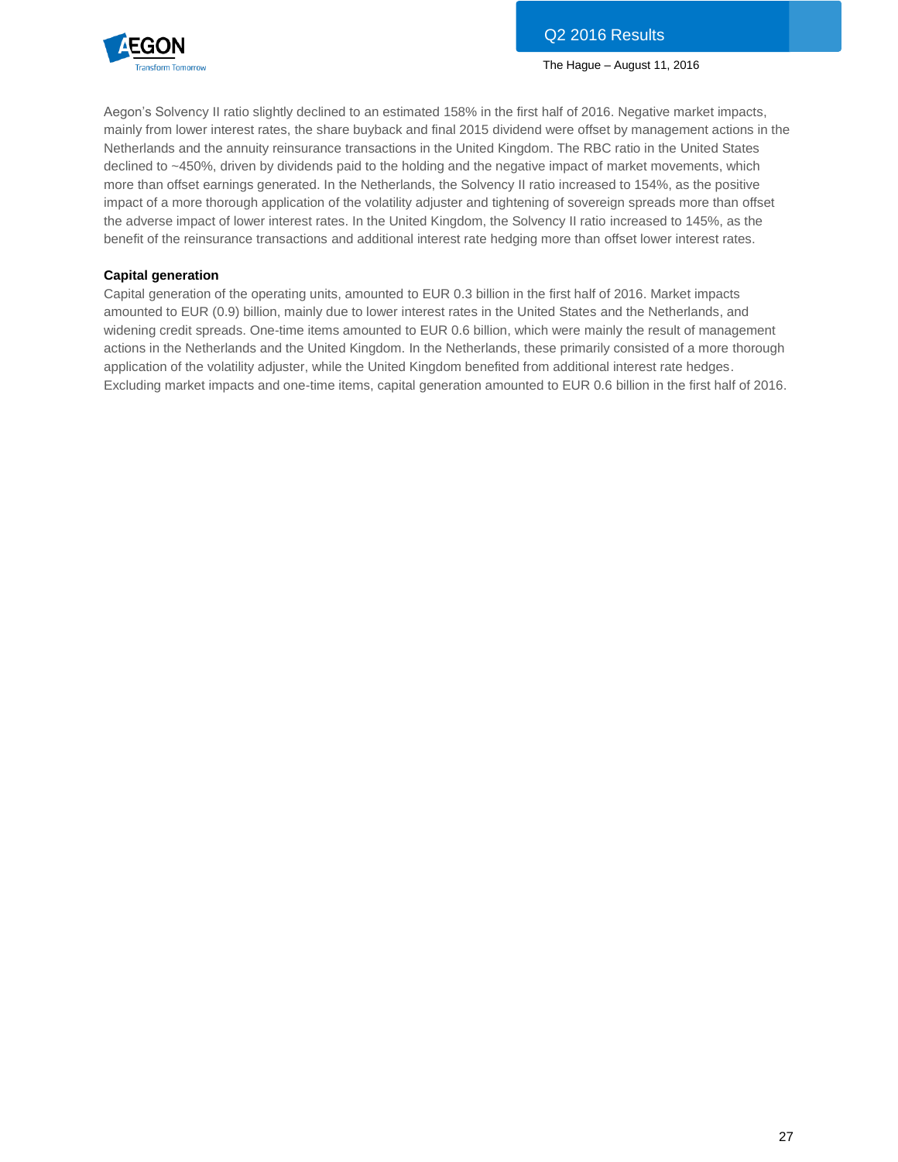

Aegon's Solvency II ratio slightly declined to an estimated 158% in the first half of 2016. Negative market impacts, mainly from lower interest rates, the share buyback and final 2015 dividend were offset by management actions in the Netherlands and the annuity reinsurance transactions in the United Kingdom. The RBC ratio in the United States declined to ~450%, driven by dividends paid to the holding and the negative impact of market movements, which more than offset earnings generated. In the Netherlands, the Solvency II ratio increased to 154%, as the positive impact of a more thorough application of the volatility adjuster and tightening of sovereign spreads more than offset the adverse impact of lower interest rates. In the United Kingdom, the Solvency II ratio increased to 145%, as the benefit of the reinsurance transactions and additional interest rate hedging more than offset lower interest rates.

# **Capital generation**

Capital generation of the operating units, amounted to EUR 0.3 billion in the first half of 2016. Market impacts amounted to EUR (0.9) billion, mainly due to lower interest rates in the United States and the Netherlands, and widening credit spreads. One-time items amounted to EUR 0.6 billion, which were mainly the result of management actions in the Netherlands and the United Kingdom. In the Netherlands, these primarily consisted of a more thorough application of the volatility adjuster, while the United Kingdom benefited from additional interest rate hedges. Excluding market impacts and one-time items, capital generation amounted to EUR 0.6 billion in the first half of 2016.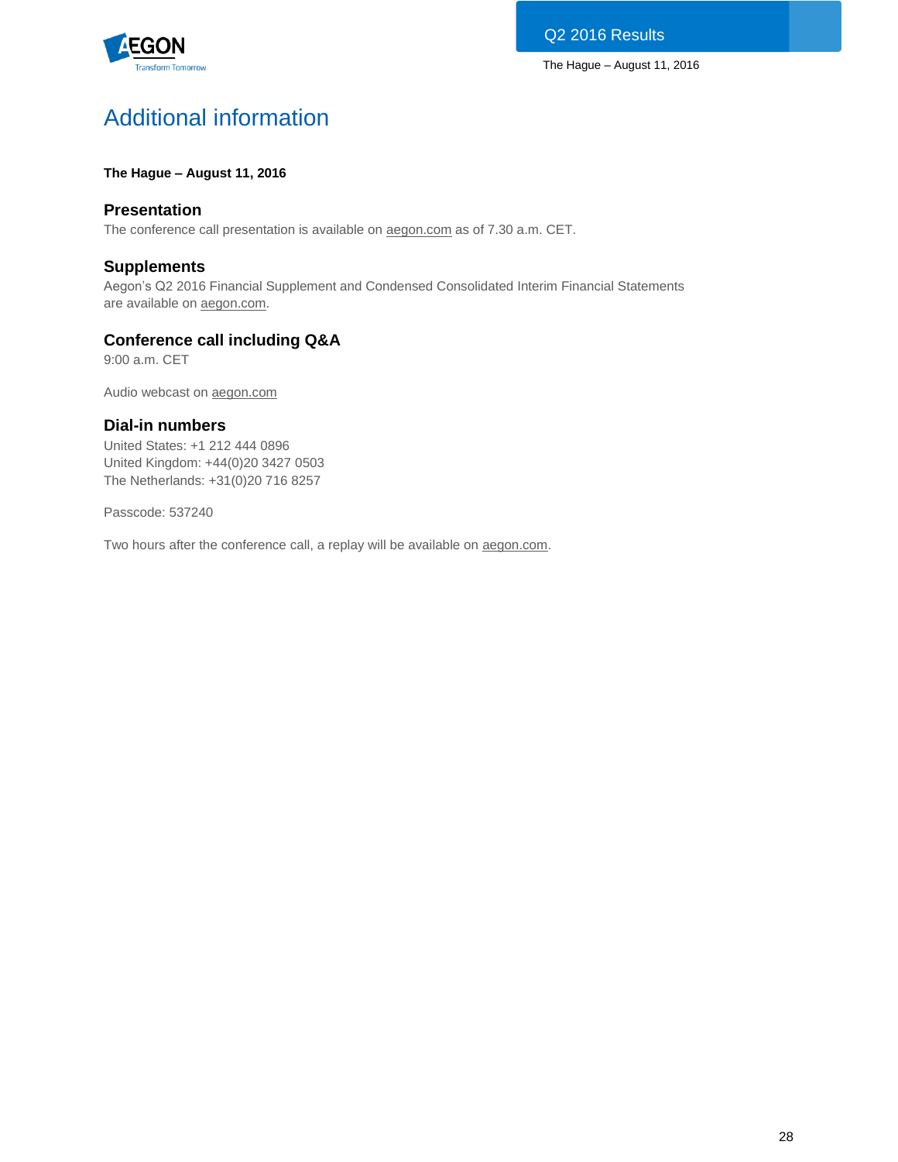

# Additional information

# **The Hague – August 11, 2016**

# **Presentation**

The conference call presentation is available on [aegon.com](http://www.aegon.com/results) as of 7.30 a.m. CET.

# **Supplements**

Aegon's Q2 2016 Financial Supplement and Condensed Consolidated Interim Financial Statements are available on [aegon.com.](http://www.aegon.com/results)

# **Conference call including Q&A**

9:00 a.m. CET

Audio webcast on [aegon.com](http://www.aegon.com/results)

# **Dial-in numbers**

United States: +1 212 444 0896 United Kingdom: +44(0)20 3427 0503 The Netherlands: +31(0)20 716 8257

Passcode: 537240

Two hours after the conference call, a replay will be available on [aegon.com.](http://www.aegon.com/results)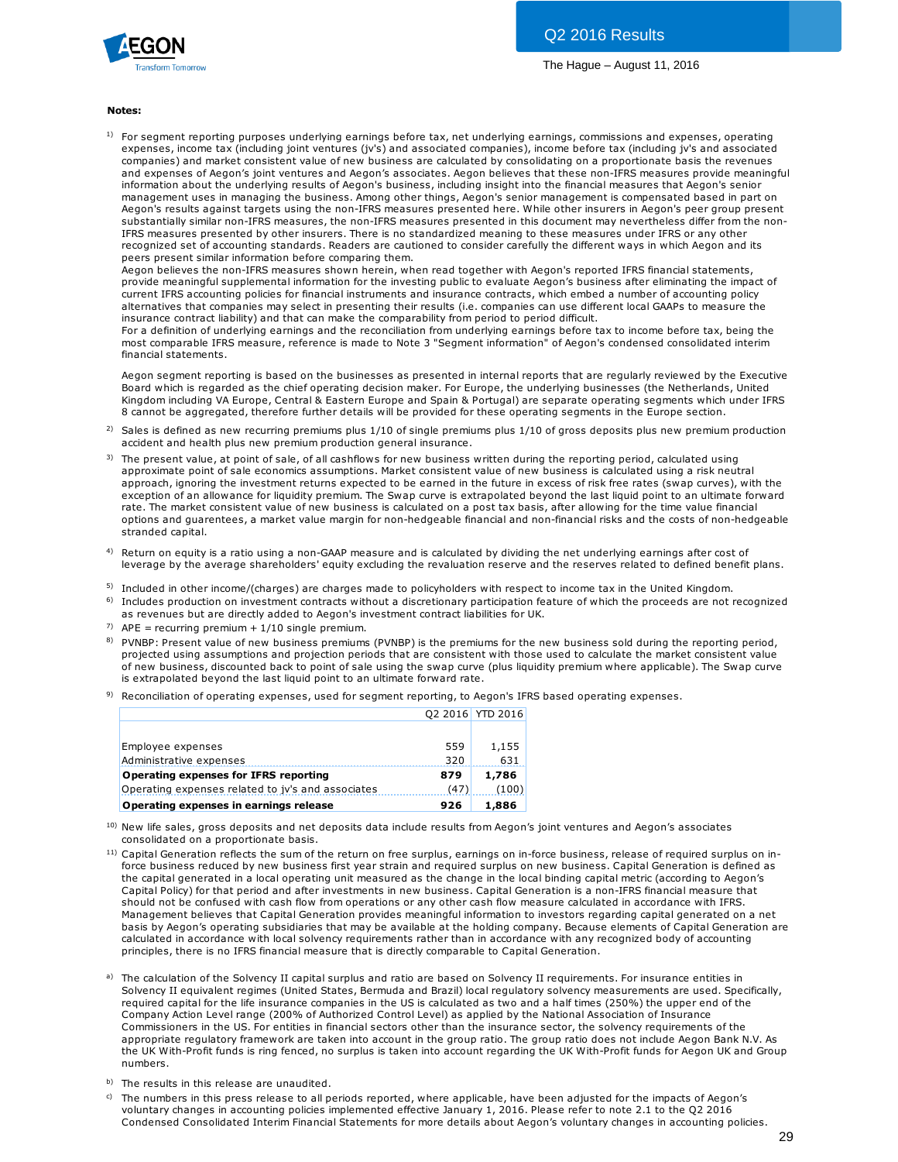

#### **Notes:**

1) For segment reporting purposes underlying earnings before tax, net underlying earnings, commissions and expenses, operating expenses, income tax (including joint ventures (jv's) and associated companies), income before tax (including jv's and associated **tes:**<br>For segment reporting purposes underlying earnings before tax, net underlying earnings, commissions and expenses, operating<br>expenses, income tax (including joint ventures (jv's) and associated companies), income bef and expenses of Aegon's joint ventures and Aegon's associates. Aegon believes that these non-IFRS measures provide meaningful information about the underlying results of Aegon's business, including insight into the financial measures that Aegon's senior management uses in managing the business. Among other things, Aegon's senior management is compensated based in part on Aegon's results against targets using the non-IFRS measures presented here. While other insurers in Aegon's peer group present substantially similar non-IFRS measures, the non-IFRS measures presented in this document may nevertheless differ from the non-IFRS measures presented by other insurers. There is no standardized meaning to these measures under IFRS or any other recognized set of accounting standards. Readers are cautioned to consider carefully the different ways in which Aegon and its peers present similar information before comparing them.

Aegon believes the non-IFRS measures shown herein, when read together with Aegon's reported IFRS financial statements, provide meaningful supplemental information for the investing public to evaluate Aegon's business after eliminating the impact of current IFRS accounting policies for financial instruments and insurance contracts, which embed a number of accounting policy alternatives that companies may select in presenting their results (i.e. companies can use different local GAAPs to measure the insurance contract liability) and that can make the comparability from period to period difficult.

For a definition of underlying earnings and the reconciliation from underlying earnings before tax to income before tax, being the most comparable IFRS measure, reference is made to Note 3 "Segment information" of Aegon's condensed consolidated interim financial statements.

Aegon segment reporting is based on the businesses as presented in internal reports that are regularly reviewed by the Executive Board which is regarded as the chief operating decision maker. For Europe, the underlying businesses (the Netherlands, United Kingdom including VA Europe, Central & Eastern Europe and Spain & Portugal) are separate operating segments which under IFRS 8 cannot be aggregated, therefore further details will be provided for these operating segments in the Europe section. Aegon segment reporting is based on the businesses as presented in internal reports that are regularly reviewed by the Executive<br>Board which is regarded as the chief operating decision maker. For Europe, the underlying bus Aegon segment reporting is based on the businesses as presented in<br>Board which is regarded as the chief operating decision maker. For Eu<br>Kingdom including VA Europe, Central & Eastern Europe and Spain & l<br>8 cannot be aggre Experience value, Central & Eastern Europe and Spain & Portugal) are separate operating segments which une 8 cannot be aggregated, therefore further details will be provided for these operating segments in the Europe secti

- 2)
- 3) approximate and the aggregated, therefore further details will be provided for these operating segments in the Europe section.<br>Sales is defined as new recurring premiums plus 1/10 of single premiums plus 1/10 of gross depo approach, ignoring the investment returns expected to be earned in the future in excess of risk free rates (swap curves), with the exception of an allowance for liquidity premium. The Swap curve is extrapolated beyond the last liquid point to an ultimate forward<br>rate. The market consistent value of new business is calculated on a post tax basis, after accident and health plus new premium production general insurance.<br>The present value, at point of sale, of all cashflows for new business written during the reporting period, calculated using<br>approximate point of sale econ options and guarentees, a market value margin for non-hedgeable financial and non-financial risks and the costs of non-hedgeable stranded capital.
- 4) Return on equity is a ratio using a non-GAAP measure and is calculated by dividing the net underlying earnings after cost of leverage by the average shareholders' equity excluding the revaluation reserve and the reserves related to defined benefit plans.
- <sup>5)</sup> Included in other income/(charges) are charges made to policyholders with respect to income tax in the United Kingdom.
- <sup>6)</sup> Includes production on investment contracts without a discretionary participation feature of which the proceeds are not recognized as revenues but are directly added to Aegon's investment contract liabilities for UK.
- <sup>7)</sup> APE = recurring premium +  $1/10$  single premium.
- <sup>8)</sup> PVNBP: Present value of new business premiums (PVNBP) is the premiums for the new business sold during the reporting period, Included in other income/(charges) are charges made to policyholders with respect to income tax in the United Kingdom.<br>Includes production on investment contracts without a discretionary participation feature of which the projected using assumptions and projection periods that are consistent with those used to calculate the market consistent value Includes production on investment contracts without a discretionary participation feature of which the proceeds are not recognized<br>as revenues but are directly added to Aegon's investment contract liabilities for UK.<br>APE = is extrapolated beyond the last liquid point to an ultimate forward rate.
- 9) Reconciliation of operating expenses, used for segment reporting, to Aegon's IFRS based operating expenses.

|                                                   |      | 02 2016 YTD 2016 |
|---------------------------------------------------|------|------------------|
|                                                   |      |                  |
| Employee expenses                                 | 559  | 1,155            |
| Administrative expenses                           | 320  | 631              |
| Operating expenses for IFRS reporting             | 879  | 1,786            |
| Operating expenses related to jv's and associates | (47) | (100)            |
| Operating expenses in earnings release            | 926  | 1,886            |

- <sup>11)</sup> Capital Generation reflects the sum of the return on free surplus, earnings on in-force business, release of required surplus on ina ) **Operating expenses in earnings release**<br>New life sales, gross deposits and net deposits data include results from Aegon's joint ventures and Aegon's associates<br>consolidated on a proportionate basis.<br>Capital Generation ref the capital generated in a local operating unit measured as the change in the local binding capital metric (according to Aegon's New life sales, gross deposits and net deposits data include results from Aegon's joint ventures and Aegon's associates<br>consolidated on a proportionate basis.<br>Capital Generation reflects the sum of the return on free surpl consolidated on a proportionate basis.<br>Capital Generation reflects the sum of the return on free surplus, earnings on in-force business, release of required surplus<br>force business reduced by new business first year strain Management believes that Capital Generation provides meaningful information to investors regarding capital generated on a net basis by Aegon's operating subsidiaries that may be available at the holding company. Because elements of Capital Generation are calculated in accordance with local solvency requirements rather than in accordance with any recognized body of accounting principles, there is no IFRS financial measure that is directly comparable to Capital Generation.
- a) The calculation of the Solvency II capital surplus and ratio are based on Solvency II requirements. For insurance entities in Solvency II equivalent regimes (United States, Bermuda and Brazil) local regulatory solvency measurements are used. Specifically, required capital for the life insurance companies in the US is calculated as two and a half times (250%) the upper end of the Company Action Level range (200% of Authorized Control Level) as applied by the National Association of Insurance Commissioners in the US. For entities in financial sectors other than the insurance sector, the solvency requirements of the appropriate regulatory framework are taken into account in the group ratio. The group ratio does not include Aegon Bank N.V. As the UK With-Profit funds is ring fenced, no surplus is taken into account regarding the UK With-Profit funds for Aegon UK and Group numbers.
- b) The results in this release are unaudited.
- c) The numbers in this press release to all periods reported, where applicable, have been adjusted for the impacts of Aegon's voluntary changes in accounting policies implemented effective January 1, 2016. Please refer to note 2.1 to the Q2 2016 Condensed Consolidated Interim Financial Statements for more details about Aegon's voluntary changes in accounting policies.